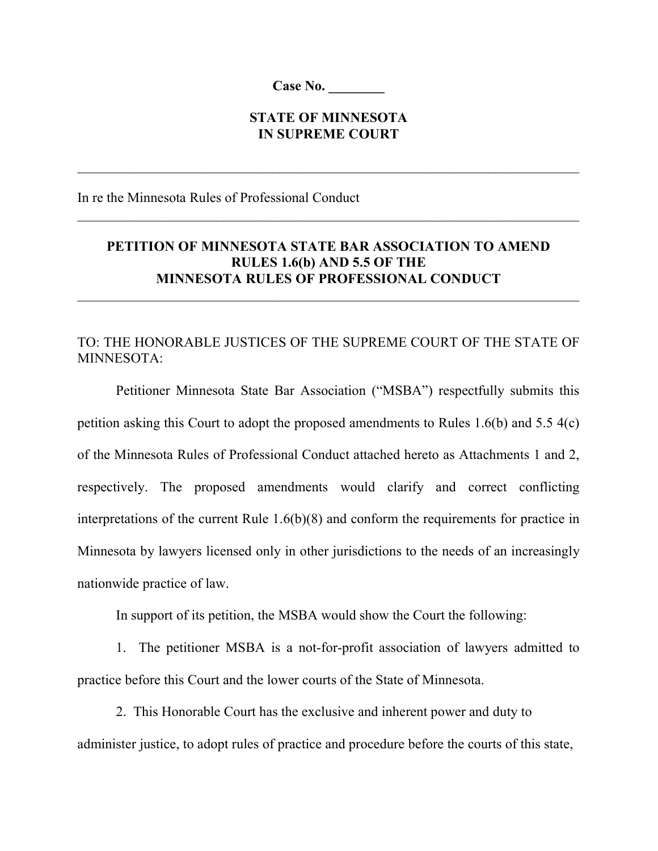Case No. \_\_\_\_\_\_\_\_

### STATE OF MINNESOTA IN SUPREME COURT

 $\mathcal{L}_\text{max} = \frac{1}{2} \sum_{i=1}^n \mathcal{L}_\text{max}(\mathbf{z}_i - \mathbf{z}_i)$ 

 $\mathcal{L}_\text{max}$  and  $\mathcal{L}_\text{max}$  and  $\mathcal{L}_\text{max}$  and  $\mathcal{L}_\text{max}$  and  $\mathcal{L}_\text{max}$  and  $\mathcal{L}_\text{max}$ 

In re the Minnesota Rules of Professional Conduct

### PETITION OF MINNESOTA STATE BAR ASSOCIATION TO AMEND RULES 1.6(b) AND 5.5 OF THE MINNESOTA RULES OF PROFESSIONAL CONDUCT

## TO: THE HONORABLE JUSTICES OF THE SUPREME COURT OF THE STATE OF MINNESOTA:

 Petitioner Minnesota State Bar Association ("MSBA") respectfully submits this petition asking this Court to adopt the proposed amendments to Rules 1.6(b) and 5.5 4(c) of the Minnesota Rules of Professional Conduct attached hereto as Attachments 1 and 2, respectively. The proposed amendments would clarify and correct conflicting interpretations of the current Rule 1.6(b)(8) and conform the requirements for practice in Minnesota by lawyers licensed only in other jurisdictions to the needs of an increasingly nationwide practice of law.

In support of its petition, the MSBA would show the Court the following:

 1. The petitioner MSBA is a not-for-profit association of lawyers admitted to practice before this Court and the lower courts of the State of Minnesota.

2. This Honorable Court has the exclusive and inherent power and duty to administer justice, to adopt rules of practice and procedure before the courts of this state,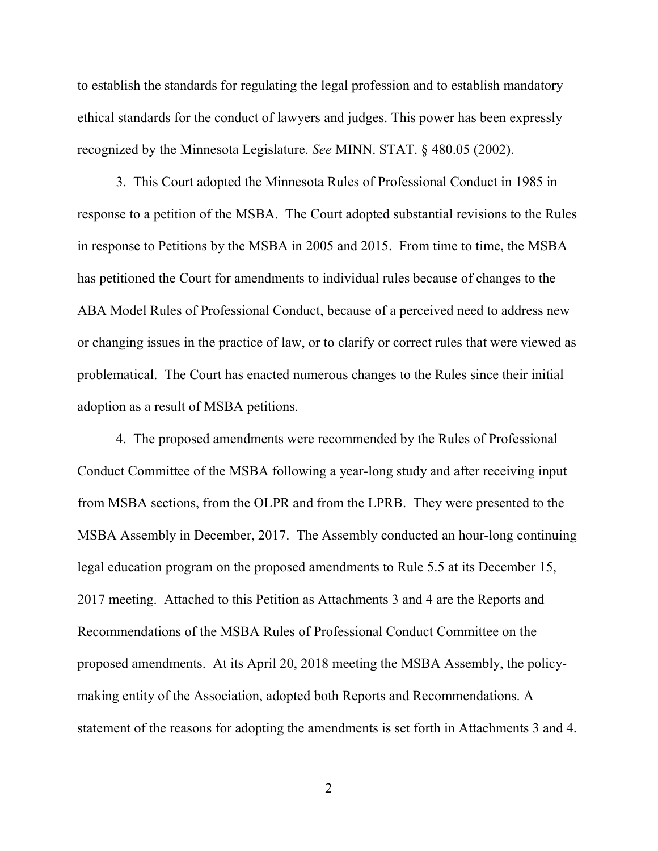to establish the standards for regulating the legal profession and to establish mandatory ethical standards for the conduct of lawyers and judges. This power has been expressly recognized by the Minnesota Legislature. See MINN. STAT. § 480.05 (2002).

3. This Court adopted the Minnesota Rules of Professional Conduct in 1985 in response to a petition of the MSBA. The Court adopted substantial revisions to the Rules in response to Petitions by the MSBA in 2005 and 2015. From time to time, the MSBA has petitioned the Court for amendments to individual rules because of changes to the ABA Model Rules of Professional Conduct, because of a perceived need to address new or changing issues in the practice of law, or to clarify or correct rules that were viewed as problematical. The Court has enacted numerous changes to the Rules since their initial adoption as a result of MSBA petitions.

4. The proposed amendments were recommended by the Rules of Professional Conduct Committee of the MSBA following a year-long study and after receiving input from MSBA sections, from the OLPR and from the LPRB. They were presented to the MSBA Assembly in December, 2017. The Assembly conducted an hour-long continuing legal education program on the proposed amendments to Rule 5.5 at its December 15, 2017 meeting. Attached to this Petition as Attachments 3 and 4 are the Reports and Recommendations of the MSBA Rules of Professional Conduct Committee on the proposed amendments. At its April 20, 2018 meeting the MSBA Assembly, the policymaking entity of the Association, adopted both Reports and Recommendations. A statement of the reasons for adopting the amendments is set forth in Attachments 3 and 4.

2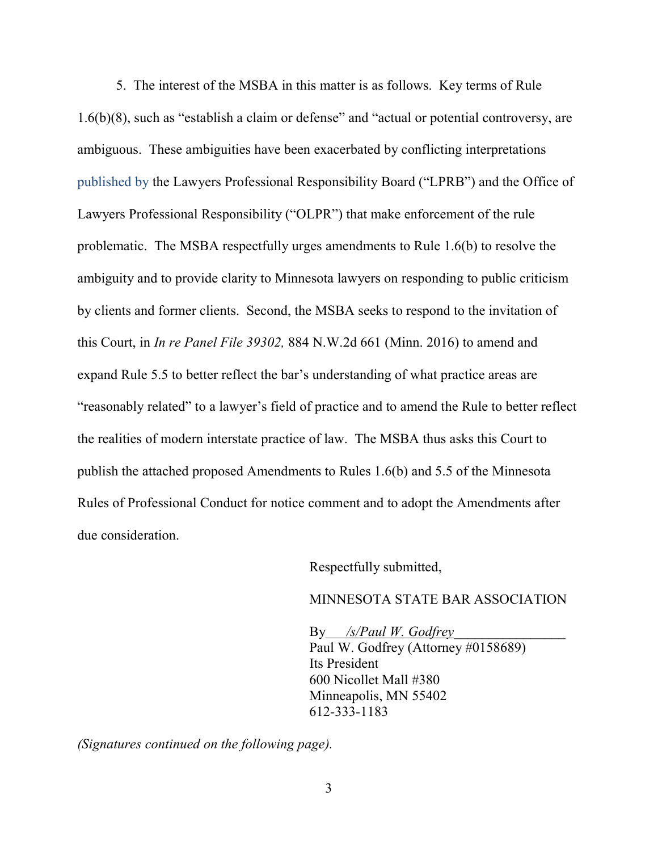5. The interest of the MSBA in this matter is as follows. Key terms of Rule 1.6(b)(8), such as "establish a claim or defense" and "actual or potential controversy, are ambiguous. These ambiguities have been exacerbated by conflicting interpretations published by the Lawyers Professional Responsibility Board ("LPRB") and the Office of Lawyers Professional Responsibility ("OLPR") that make enforcement of the rule problematic. The MSBA respectfully urges amendments to Rule 1.6(b) to resolve the ambiguity and to provide clarity to Minnesota lawyers on responding to public criticism by clients and former clients. Second, the MSBA seeks to respond to the invitation of this Court, in In re Panel File 39302, 884 N.W.2d 661 (Minn. 2016) to amend and expand Rule 5.5 to better reflect the bar's understanding of what practice areas are "reasonably related" to a lawyer's field of practice and to amend the Rule to better reflect the realities of modern interstate practice of law. The MSBA thus asks this Court to publish the attached proposed Amendments to Rules 1.6(b) and 5.5 of the Minnesota Rules of Professional Conduct for notice comment and to adopt the Amendments after due consideration.

Respectfully submitted,

MINNESOTA STATE BAR ASSOCIATION

By  $/s/Paul W. Godfrev$  Paul W. Godfrey (Attorney #0158689) Its President 600 Nicollet Mall #380 Minneapolis, MN 55402 612-333-1183

(Signatures continued on the following page).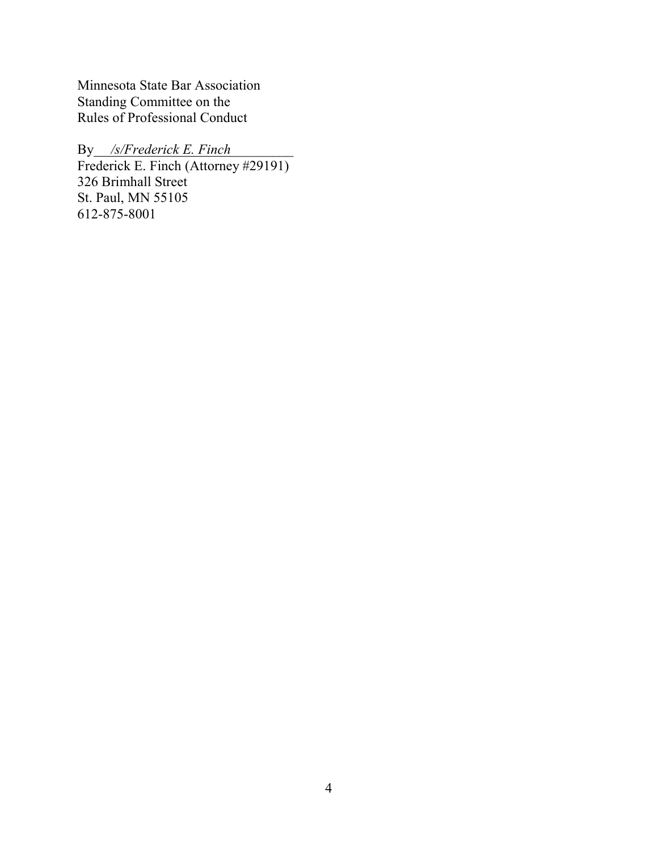Minnesota State Bar Association Standing Committee on the Rules of Professional Conduct

By /s/Frederick E. Finch Frederick E. Finch (Attorney #29191) 326 Brimhall Street St. Paul, MN 55105 612-875-8001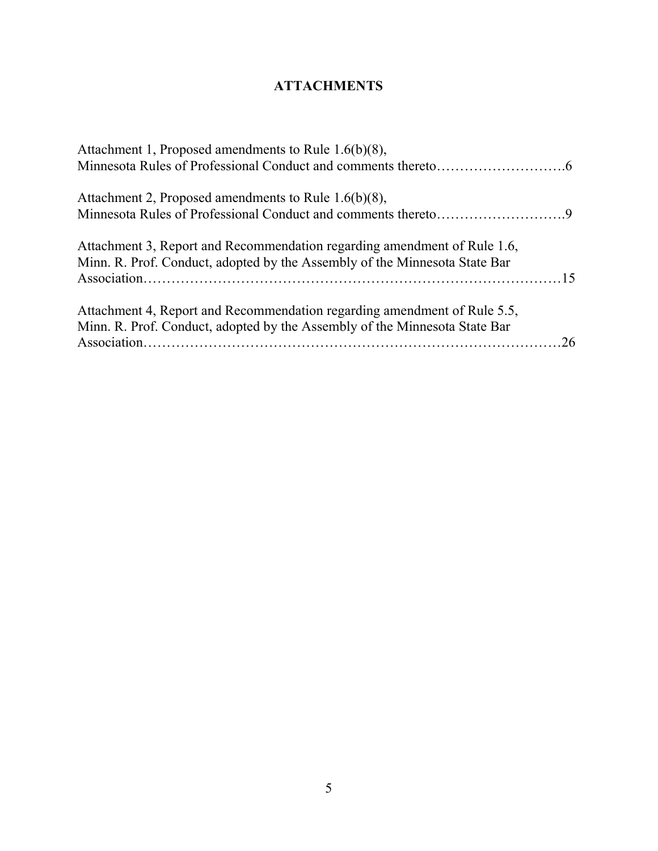# **ATTACHMENTS**

| Attachment 1, Proposed amendments to Rule 1.6(b)(8),                                                                                                   |  |
|--------------------------------------------------------------------------------------------------------------------------------------------------------|--|
| Attachment 2, Proposed amendments to Rule $1.6(b)(8)$ ,                                                                                                |  |
| Attachment 3, Report and Recommendation regarding amendment of Rule 1.6,<br>Minn. R. Prof. Conduct, adopted by the Assembly of the Minnesota State Bar |  |
| Attachment 4, Report and Recommendation regarding amendment of Rule 5.5,<br>Minn. R. Prof. Conduct, adopted by the Assembly of the Minnesota State Bar |  |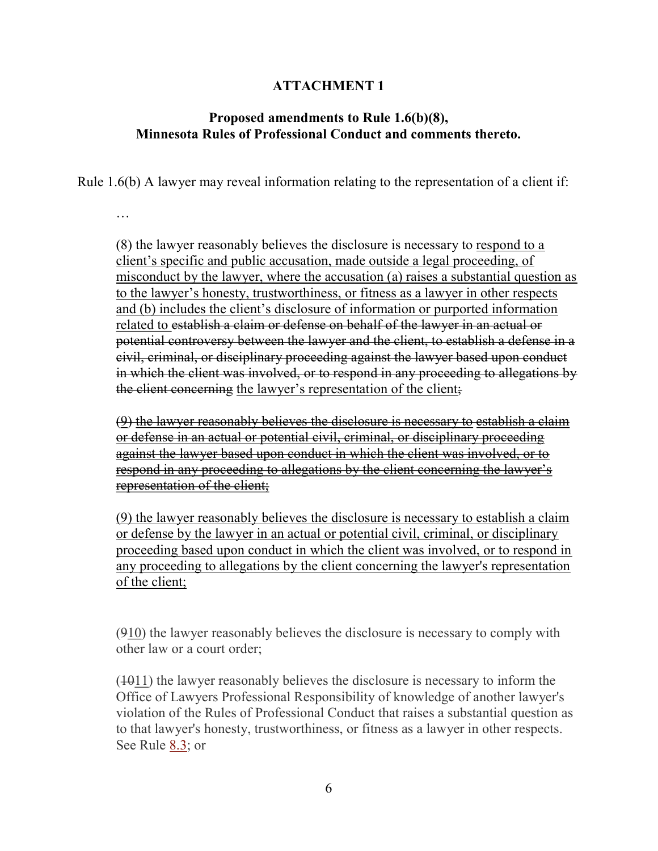# ATTACHMENT 1

# Proposed amendments to Rule 1.6(b)(8), Minnesota Rules of Professional Conduct and comments thereto.

Rule 1.6(b) A lawyer may reveal information relating to the representation of a client if:

…

(8) the lawyer reasonably believes the disclosure is necessary to respond to a client's specific and public accusation, made outside a legal proceeding, of misconduct by the lawyer, where the accusation (a) raises a substantial question as to the lawyer's honesty, trustworthiness, or fitness as a lawyer in other respects and (b) includes the client's disclosure of information or purported information related to establish a claim or defense on behalf of the lawyer in an actual or potential controversy between the lawyer and the client, to establish a defense in a civil, criminal, or disciplinary proceeding against the lawyer based upon conduct in which the client was involved, or to respond in any proceeding to allegations by the client concerning the lawyer's representation of the client;

(9) the lawyer reasonably believes the disclosure is necessary to establish a claim or defense in an actual or potential civil, criminal, or disciplinary proceeding against the lawyer based upon conduct in which the client was involved, or to respond in any proceeding to allegations by the client concerning the lawyer's representation of the client;

(9) the lawyer reasonably believes the disclosure is necessary to establish a claim or defense by the lawyer in an actual or potential civil, criminal, or disciplinary proceeding based upon conduct in which the client was involved, or to respond in any proceeding to allegations by the client concerning the lawyer's representation of the client;

(910) the lawyer reasonably believes the disclosure is necessary to comply with other law or a court order;

 $(1011)$  the lawyer reasonably believes the disclosure is necessary to inform the Office of Lawyers Professional Responsibility of knowledge of another lawyer's violation of the Rules of Professional Conduct that raises a substantial question as to that lawyer's honesty, trustworthiness, or fitness as a lawyer in other respects. See Rule 8.3; or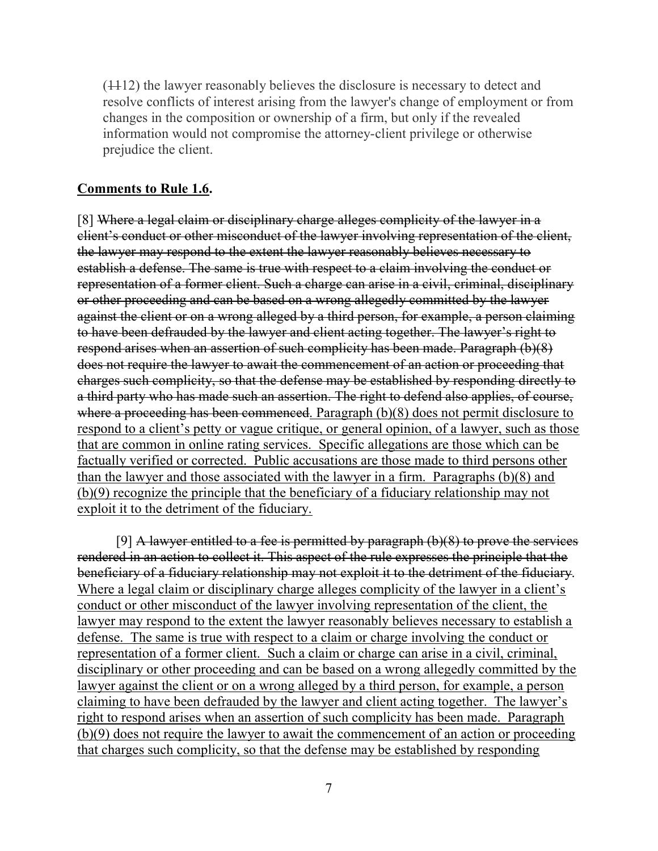(1112) the lawyer reasonably believes the disclosure is necessary to detect and resolve conflicts of interest arising from the lawyer's change of employment or from changes in the composition or ownership of a firm, but only if the revealed information would not compromise the attorney-client privilege or otherwise prejudice the client.

### Comments to Rule 1.6.

[8] Where a legal claim or disciplinary charge alleges complicity of the lawyer in a client's conduct or other misconduct of the lawyer involving representation of the client, the lawyer may respond to the extent the lawyer reasonably believes necessary to establish a defense. The same is true with respect to a claim involving the conduct or representation of a former client. Such a charge can arise in a civil, criminal, disciplinary or other proceeding and can be based on a wrong allegedly committed by the lawyer against the client or on a wrong alleged by a third person, for example, a person claiming to have been defrauded by the lawyer and client acting together. The lawyer's right to respond arises when an assertion of such complicity has been made. Paragraph (b)(8) does not require the lawyer to await the commencement of an action or proceeding that charges such complicity, so that the defense may be established by responding directly to a third party who has made such an assertion. The right to defend also applies, of course, where a proceeding has been commenced. Paragraph (b)(8) does not permit disclosure to respond to a client's petty or vague critique, or general opinion, of a lawyer, such as those that are common in online rating services. Specific allegations are those which can be factually verified or corrected. Public accusations are those made to third persons other than the lawyer and those associated with the lawyer in a firm. Paragraphs (b)(8) and (b)(9) recognize the principle that the beneficiary of a fiduciary relationship may not exploit it to the detriment of the fiduciary.

[9] A lawyer entitled to a fee is permitted by paragraph  $(b)(8)$  to prove the services rendered in an action to collect it. This aspect of the rule expresses the principle that the beneficiary of a fiduciary relationship may not exploit it to the detriment of the fiduciary. Where a legal claim or disciplinary charge alleges complicity of the lawyer in a client's conduct or other misconduct of the lawyer involving representation of the client, the lawyer may respond to the extent the lawyer reasonably believes necessary to establish a defense. The same is true with respect to a claim or charge involving the conduct or representation of a former client. Such a claim or charge can arise in a civil, criminal, disciplinary or other proceeding and can be based on a wrong allegedly committed by the lawyer against the client or on a wrong alleged by a third person, for example, a person claiming to have been defrauded by the lawyer and client acting together. The lawyer's right to respond arises when an assertion of such complicity has been made. Paragraph (b)(9) does not require the lawyer to await the commencement of an action or proceeding that charges such complicity, so that the defense may be established by responding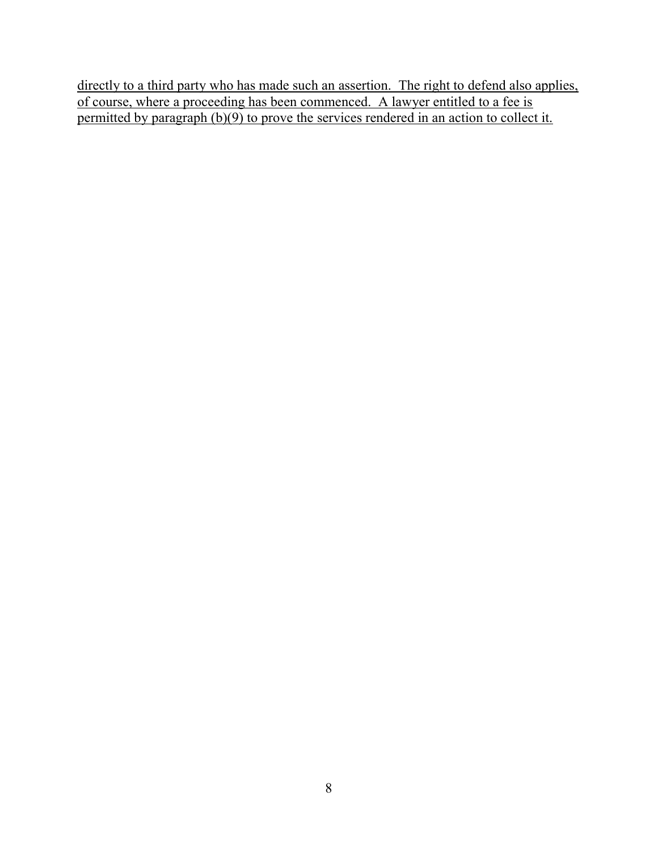directly to a third party who has made such an assertion. The right to defend also applies, of course, where a proceeding has been commenced. A lawyer entitled to a fee is permitted by paragraph (b)(9) to prove the services rendered in an action to collect it.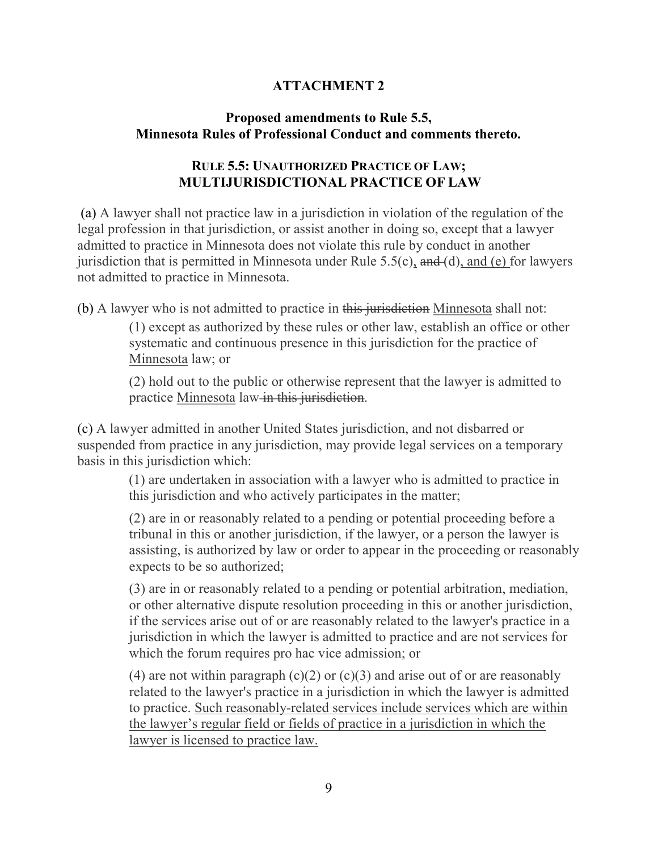# ATTACHMENT 2

# Proposed amendments to Rule 5.5, Minnesota Rules of Professional Conduct and comments thereto.

# RULE 5.5: UNAUTHORIZED PRACTICE OF LAW; MULTIJURISDICTIONAL PRACTICE OF LAW

 (a) A lawyer shall not practice law in a jurisdiction in violation of the regulation of the legal profession in that jurisdiction, or assist another in doing so, except that a lawyer admitted to practice in Minnesota does not violate this rule by conduct in another jurisdiction that is permitted in Minnesota under Rule  $5.5(c)$ , and  $(d)$ , and  $(e)$  for lawyers not admitted to practice in Minnesota.

(b) A lawyer who is not admitted to practice in this jurisdiction Minnesota shall not:

(1) except as authorized by these rules or other law, establish an office or other systematic and continuous presence in this jurisdiction for the practice of Minnesota law; or

(2) hold out to the public or otherwise represent that the lawyer is admitted to practice Minnesota law in this jurisdiction.

(c) A lawyer admitted in another United States jurisdiction, and not disbarred or suspended from practice in any jurisdiction, may provide legal services on a temporary basis in this jurisdiction which:

> (1) are undertaken in association with a lawyer who is admitted to practice in this jurisdiction and who actively participates in the matter;

(2) are in or reasonably related to a pending or potential proceeding before a tribunal in this or another jurisdiction, if the lawyer, or a person the lawyer is assisting, is authorized by law or order to appear in the proceeding or reasonably expects to be so authorized;

(3) are in or reasonably related to a pending or potential arbitration, mediation, or other alternative dispute resolution proceeding in this or another jurisdiction, if the services arise out of or are reasonably related to the lawyer's practice in a jurisdiction in which the lawyer is admitted to practice and are not services for which the forum requires pro hac vice admission; or

(4) are not within paragraph  $(c)(2)$  or  $(c)(3)$  and arise out of or are reasonably related to the lawyer's practice in a jurisdiction in which the lawyer is admitted to practice. Such reasonably-related services include services which are within the lawyer's regular field or fields of practice in a jurisdiction in which the lawyer is licensed to practice law.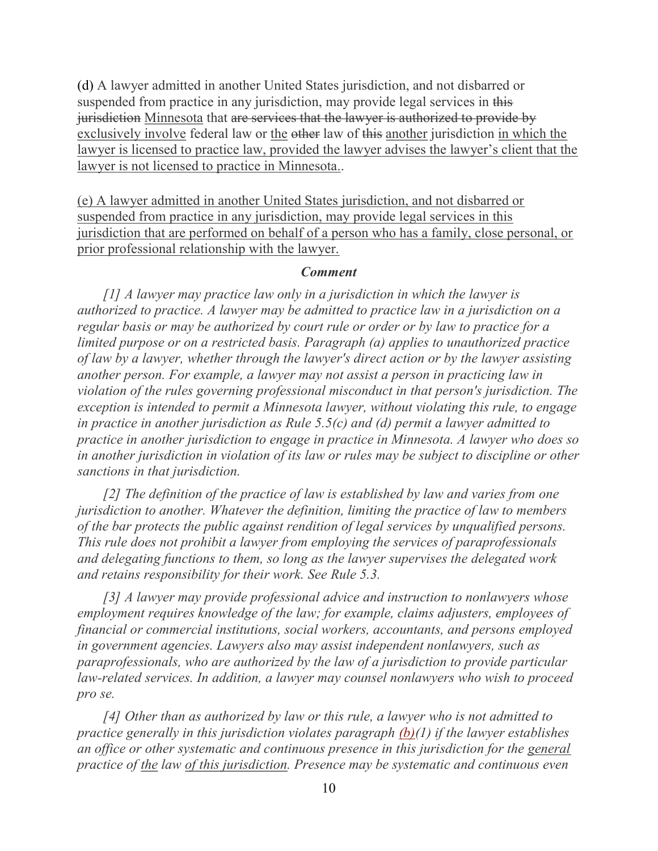(d) A lawyer admitted in another United States jurisdiction, and not disbarred or suspended from practice in any jurisdiction, may provide legal services in this jurisdiction Minnesota that are services that the lawyer is authorized to provide by exclusively involve federal law or the other law of this another jurisdiction in which the lawyer is licensed to practice law, provided the lawyer advises the lawyer's client that the lawyer is not licensed to practice in Minnesota..

(e) A lawyer admitted in another United States jurisdiction, and not disbarred or suspended from practice in any jurisdiction, may provide legal services in this jurisdiction that are performed on behalf of a person who has a family, close personal, or prior professional relationship with the lawyer.

#### Comment

 $[1]$  A lawyer may practice law only in a jurisdiction in which the lawyer is authorized to practice. A lawyer may be admitted to practice law in a jurisdiction on a regular basis or may be authorized by court rule or order or by law to practice for a limited purpose or on a restricted basis. Paragraph (a) applies to unauthorized practice of law by a lawyer, whether through the lawyer's direct action or by the lawyer assisting another person. For example, a lawyer may not assist a person in practicing law in violation of the rules governing professional misconduct in that person's jurisdiction. The exception is intended to permit a Minnesota lawyer, without violating this rule, to engage in practice in another jurisdiction as Rule  $5.5(c)$  and (d) permit a lawyer admitted to practice in another jurisdiction to engage in practice in Minnesota. A lawyer who does so in another jurisdiction in violation of its law or rules may be subject to discipline or other sanctions in that jurisdiction.

[2] The definition of the practice of law is established by law and varies from one jurisdiction to another. Whatever the definition, limiting the practice of law to members of the bar protects the public against rendition of legal services by unqualified persons. This rule does not prohibit a lawyer from employing the services of paraprofessionals and delegating functions to them, so long as the lawyer supervises the delegated work and retains responsibility for their work. See Rule 5.3.

[3] A lawyer may provide professional advice and instruction to nonlawyers whose employment requires knowledge of the law; for example, claims adjusters, employees of financial or commercial institutions, social workers, accountants, and persons employed in government agencies. Lawyers also may assist independent nonlawyers, such as paraprofessionals, who are authorized by the law of a jurisdiction to provide particular law-related services. In addition, a lawyer may counsel nonlawyers who wish to proceed pro se.

[4] Other than as authorized by law or this rule, a lawyer who is not admitted to practice generally in this jurisdiction violates paragraph  $(b)(1)$  if the lawyer establishes an office or other systematic and continuous presence in this jurisdiction for the general practice of the law of this jurisdiction. Presence may be systematic and continuous even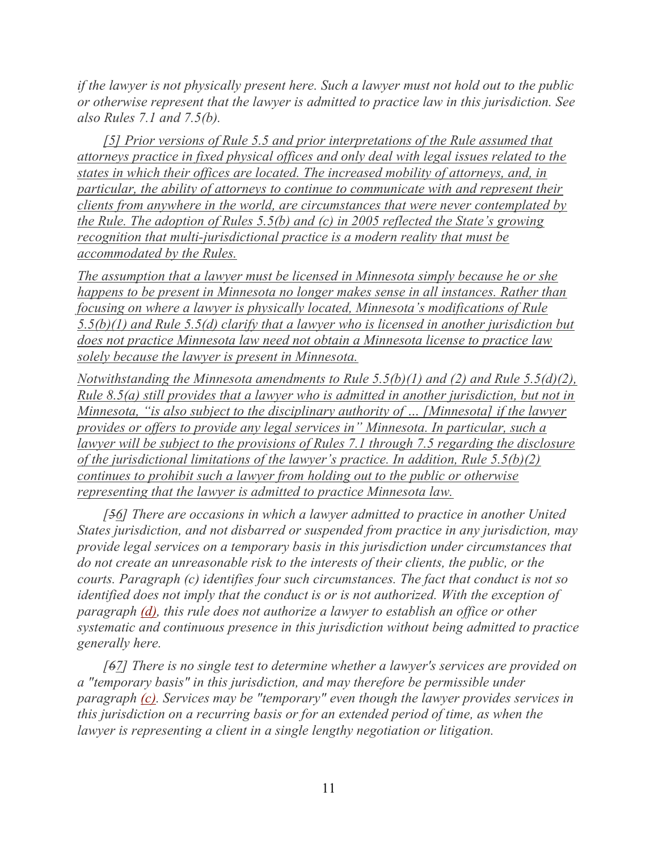if the lawyer is not physically present here. Such a lawyer must not hold out to the public or otherwise represent that the lawyer is admitted to practice law in this jurisdiction. See also Rules 7.1 and 7.5(b).

[5] Prior versions of Rule 5.5 and prior interpretations of the Rule assumed that attorneys practice in fixed physical offices and only deal with legal issues related to the states in which their offices are located. The increased mobility of attorneys, and, in particular, the ability of attorneys to continue to communicate with and represent their clients from anywhere in the world, are circumstances that were never contemplated by the Rule. The adoption of Rules 5.5(b) and (c) in 2005 reflected the State's growing recognition that multi-jurisdictional practice is a modern reality that must be accommodated by the Rules.

The assumption that a lawyer must be licensed in Minnesota simply because he or she happens to be present in Minnesota no longer makes sense in all instances. Rather than focusing on where a lawyer is physically located, Minnesota's modifications of Rule 5.5(b)(1) and Rule 5.5(d) clarify that a lawyer who is licensed in another jurisdiction but does not practice Minnesota law need not obtain a Minnesota license to practice law solely because the lawyer is present in Minnesota.

Notwithstanding the Minnesota amendments to Rule  $5.5(b)(1)$  and (2) and Rule  $5.5(d)(2)$ , Rule 8.5(a) still provides that a lawyer who is admitted in another jurisdiction, but not in Minnesota, "is also subject to the disciplinary authority of ... [Minnesota] if the lawyer provides or offers to provide any legal services in" Minnesota. In particular, such a lawyer will be subject to the provisions of Rules 7.1 through 7.5 regarding the disclosure of the jurisdictional limitations of the lawyer's practice. In addition, Rule  $5.5(b)(2)$ continues to prohibit such a lawyer from holding out to the public or otherwise representing that the lawyer is admitted to practice Minnesota law.

[56] There are occasions in which a lawyer admitted to practice in another United States jurisdiction, and not disbarred or suspended from practice in any jurisdiction, may provide legal services on a temporary basis in this jurisdiction under circumstances that do not create an unreasonable risk to the interests of their clients, the public, or the courts. Paragraph (c) identifies four such circumstances. The fact that conduct is not so identified does not imply that the conduct is or is not authorized. With the exception of paragraph  $(d)$ , this rule does not authorize a lawyer to establish an office or other systematic and continuous presence in this jurisdiction without being admitted to practice generally here.

[67] There is no single test to determine whether a lawyer's services are provided on a "temporary basis" in this jurisdiction, and may therefore be permissible under paragraph (c). Services may be "temporary" even though the lawyer provides services in this jurisdiction on a recurring basis or for an extended period of time, as when the lawyer is representing a client in a single lengthy negotiation or litigation.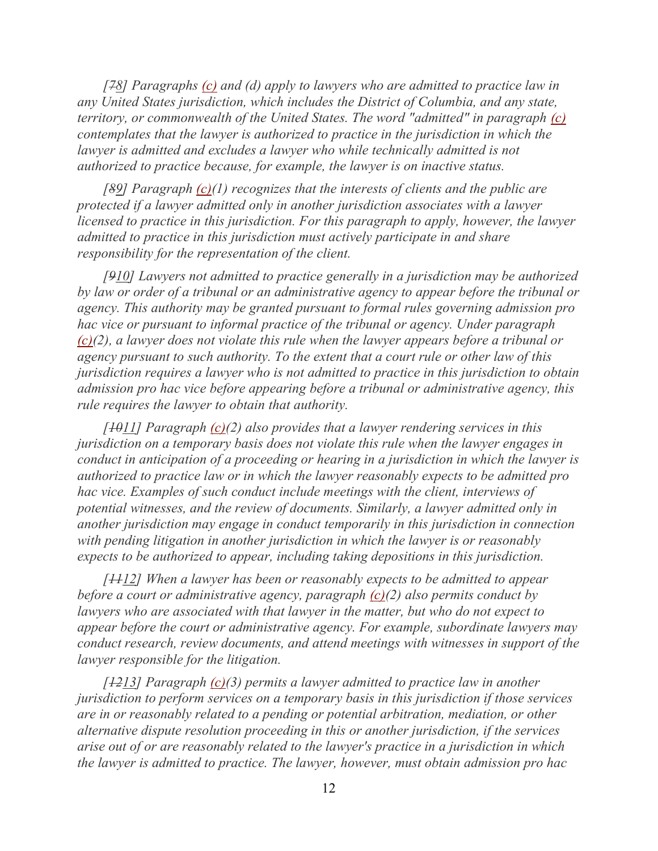[78] Paragraphs  $(c)$  and (d) apply to lawyers who are admitted to practice law in any United States jurisdiction, which includes the District of Columbia, and any state, territory, or commonwealth of the United States. The word "admitted" in paragraph (c) contemplates that the lawyer is authorized to practice in the jurisdiction in which the lawyer is admitted and excludes a lawyer who while technically admitted is not authorized to practice because, for example, the lawyer is on inactive status.

[89] Paragraph  $(c)(1)$  recognizes that the interests of clients and the public are protected if a lawyer admitted only in another jurisdiction associates with a lawyer licensed to practice in this jurisdiction. For this paragraph to apply, however, the lawyer admitted to practice in this jurisdiction must actively participate in and share responsibility for the representation of the client.

 $[910]$  Lawyers not admitted to practice generally in a jurisdiction may be authorized by law or order of a tribunal or an administrative agency to appear before the tribunal or agency. This authority may be granted pursuant to formal rules governing admission pro hac vice or pursuant to informal practice of the tribunal or agency. Under paragraph  $(c)(2)$ , a lawyer does not violate this rule when the lawyer appears before a tribunal or agency pursuant to such authority. To the extent that a court rule or other law of this jurisdiction requires a lawyer who is not admitted to practice in this jurisdiction to obtain admission pro hac vice before appearing before a tribunal or administrative agency, this rule requires the lawyer to obtain that authority.

 $[1011]$  Paragraph  $(c)(2)$  also provides that a lawyer rendering services in this jurisdiction on a temporary basis does not violate this rule when the lawyer engages in conduct in anticipation of a proceeding or hearing in a jurisdiction in which the lawyer is authorized to practice law or in which the lawyer reasonably expects to be admitted pro hac vice. Examples of such conduct include meetings with the client, interviews of potential witnesses, and the review of documents. Similarly, a lawyer admitted only in another jurisdiction may engage in conduct temporarily in this jurisdiction in connection with pending litigation in another jurisdiction in which the lawyer is or reasonably expects to be authorized to appear, including taking depositions in this jurisdiction.

 $[1112]$  When a lawyer has been or reasonably expects to be admitted to appear before a court or administrative agency, paragraph  $(c)(2)$  also permits conduct by lawyers who are associated with that lawyer in the matter, but who do not expect to appear before the court or administrative agency. For example, subordinate lawyers may conduct research, review documents, and attend meetings with witnesses in support of the lawyer responsible for the litigation.

 $[1213]$  Paragraph  $(c)(3)$  permits a lawyer admitted to practice law in another jurisdiction to perform services on a temporary basis in this jurisdiction if those services are in or reasonably related to a pending or potential arbitration, mediation, or other alternative dispute resolution proceeding in this or another jurisdiction, if the services arise out of or are reasonably related to the lawyer's practice in a jurisdiction in which the lawyer is admitted to practice. The lawyer, however, must obtain admission pro hac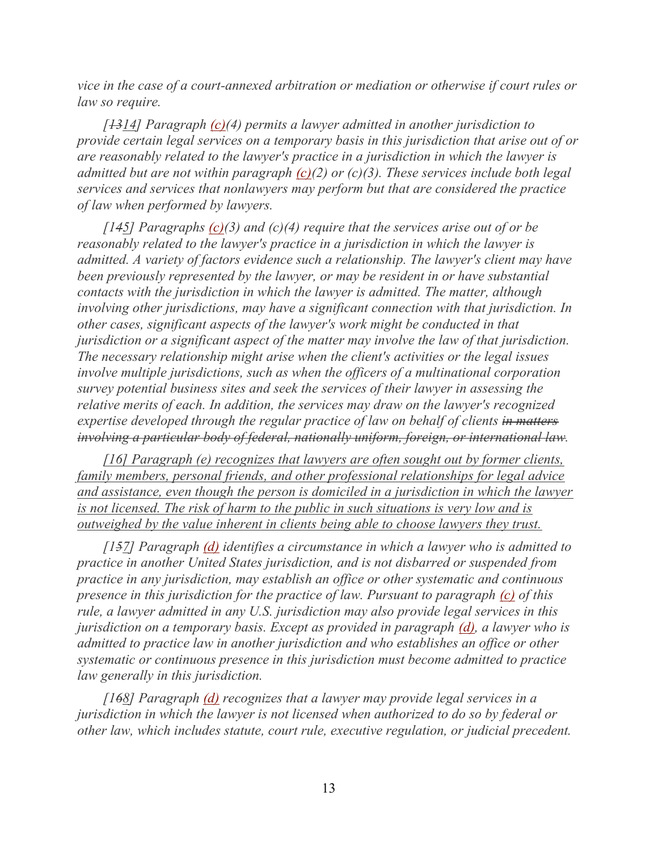vice in the case of a court-annexed arbitration or mediation or otherwise if court rules or law so require.

 $[1314]$  Paragraph  $(c)(4)$  permits a lawyer admitted in another jurisdiction to provide certain legal services on a temporary basis in this jurisdiction that arise out of or are reasonably related to the lawyer's practice in a jurisdiction in which the lawyer is admitted but are not within paragraph  $(c)(2)$  or  $(c)(3)$ . These services include both legal services and services that nonlawyers may perform but that are considered the practice of law when performed by lawyers.

[145] Paragraphs  $(c)(3)$  and  $(c)(4)$  require that the services arise out of or be reasonably related to the lawyer's practice in a jurisdiction in which the lawyer is admitted. A variety of factors evidence such a relationship. The lawyer's client may have been previously represented by the lawyer, or may be resident in or have substantial contacts with the jurisdiction in which the lawyer is admitted. The matter, although involving other jurisdictions, may have a significant connection with that jurisdiction. In other cases, significant aspects of the lawyer's work might be conducted in that jurisdiction or a significant aspect of the matter may involve the law of that jurisdiction. The necessary relationship might arise when the client's activities or the legal issues involve multiple jurisdictions, such as when the officers of a multinational corporation survey potential business sites and seek the services of their lawyer in assessing the relative merits of each. In addition, the services may draw on the lawyer's recognized expertise developed through the regular practice of law on behalf of clients in matters involving a particular body of federal, nationally uniform, foreign, or international law.

[16] Paragraph (e) recognizes that lawyers are often sought out by former clients, family members, personal friends, and other professional relationships for legal advice and assistance, even though the person is domiciled in a jurisdiction in which the lawyer is not licensed. The risk of harm to the public in such situations is very low and is outweighed by the value inherent in clients being able to choose lawyers they trust.

[157] Paragraph  $(d)$  identifies a circumstance in which a lawyer who is admitted to practice in another United States jurisdiction, and is not disbarred or suspended from practice in any jurisdiction, may establish an office or other systematic and continuous presence in this jurisdiction for the practice of law. Pursuant to paragraph  $(c)$  of this rule, a lawyer admitted in any U.S. jurisdiction may also provide legal services in this jurisdiction on a temporary basis. Except as provided in paragraph  $(d)$ , a lawyer who is admitted to practice law in another jurisdiction and who establishes an office or other systematic or continuous presence in this jurisdiction must become admitted to practice law generally in this jurisdiction.

[168] Paragraph (d) recognizes that a lawyer may provide legal services in a jurisdiction in which the lawyer is not licensed when authorized to do so by federal or other law, which includes statute, court rule, executive regulation, or judicial precedent.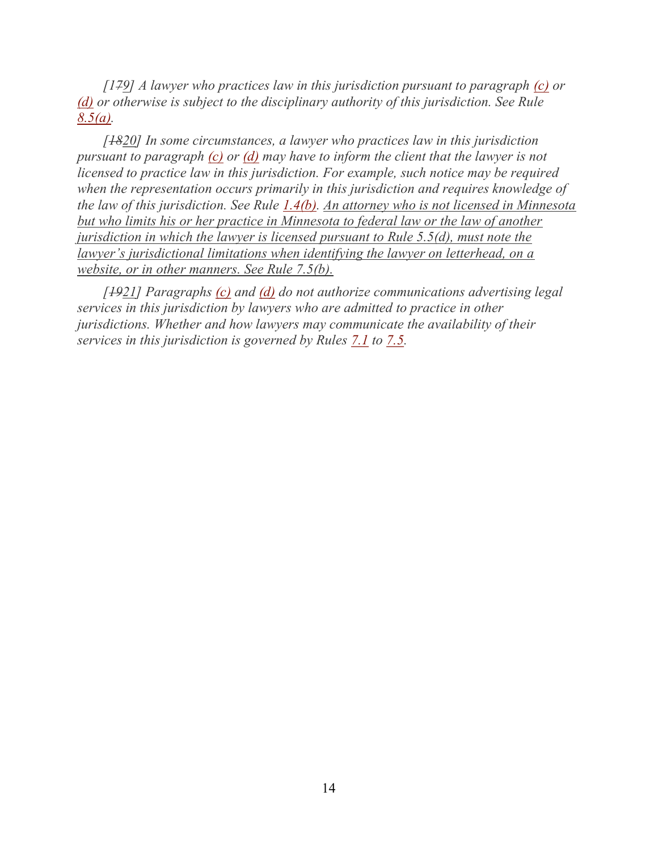$[179]$  A lawyer who practices law in this jurisdiction pursuant to paragraph (c) or (d) or otherwise is subject to the disciplinary authority of this jurisdiction. See Rule  $8.5(a)$ .

 $[1820]$  In some circumstances, a lawyer who practices law in this jurisdiction pursuant to paragraph  $(c)$  or  $(d)$  may have to inform the client that the lawyer is not licensed to practice law in this jurisdiction. For example, such notice may be required when the representation occurs primarily in this jurisdiction and requires knowledge of the law of this jurisdiction. See Rule  $1.4(b)$ . An attorney who is not licensed in Minnesota but who limits his or her practice in Minnesota to federal law or the law of another jurisdiction in which the lawyer is licensed pursuant to Rule  $5.5(d)$ , must note the lawyer's jurisdictional limitations when identifying the lawyer on letterhead, on a website, or in other manners. See Rule 7.5(b).

 $[1921]$  Paragraphs (c) and (d) do not authorize communications advertising legal services in this jurisdiction by lawyers who are admitted to practice in other jurisdictions. Whether and how lawyers may communicate the availability of their services in this jurisdiction is governed by Rules 7.1 to 7.5.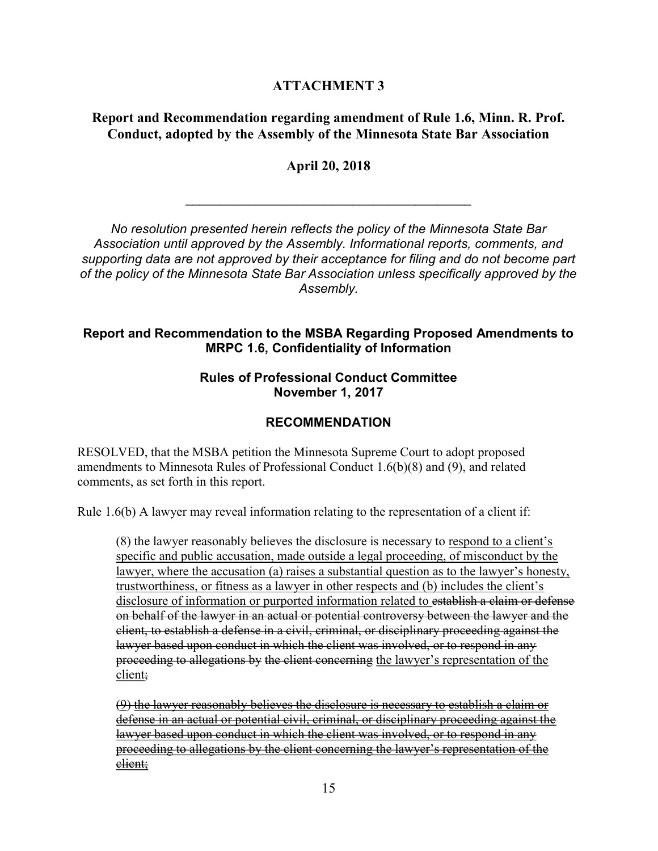# ATTACHMENT 3

### Report and Recommendation regarding amendment of Rule 1.6, Minn. R. Prof. Conduct, adopted by the Assembly of the Minnesota State Bar Association

### April 20, 2018

 $\overline{\phantom{a}}$  , and the set of the set of the set of the set of the set of the set of the set of the set of the set of the set of the set of the set of the set of the set of the set of the set of the set of the set of the s

No resolution presented herein reflects the policy of the Minnesota State Bar Association until approved by the Assembly. Informational reports, comments, and supporting data are not approved by their acceptance for filing and do not become part of the policy of the Minnesota State Bar Association unless specifically approved by the Assembly.

### Report and Recommendation to the MSBA Regarding Proposed Amendments to MRPC 1.6, Confidentiality of Information

### Rules of Professional Conduct Committee November 1, 2017

### RECOMMENDATION

RESOLVED, that the MSBA petition the Minnesota Supreme Court to adopt proposed amendments to Minnesota Rules of Professional Conduct 1.6(b)(8) and (9), and related comments, as set forth in this report.

Rule 1.6(b) A lawyer may reveal information relating to the representation of a client if:

(8) the lawyer reasonably believes the disclosure is necessary to respond to a client's specific and public accusation, made outside a legal proceeding, of misconduct by the lawyer, where the accusation (a) raises a substantial question as to the lawyer's honesty, trustworthiness, or fitness as a lawyer in other respects and (b) includes the client's disclosure of information or purported information related to establish a claim or defense on behalf of the lawyer in an actual or potential controversy between the lawyer and the client, to establish a defense in a civil, criminal, or disciplinary proceeding against the lawyer based upon conduct in which the client was involved, or to respond in any proceeding to allegations by the client concerning the lawyer's representation of the client;

(9) the lawyer reasonably believes the disclosure is necessary to establish a claim or defense in an actual or potential civil, criminal, or disciplinary proceeding against the lawyer based upon conduct in which the client was involved, or to respond in any proceeding to allegations by the client concerning the lawyer's representation of the client;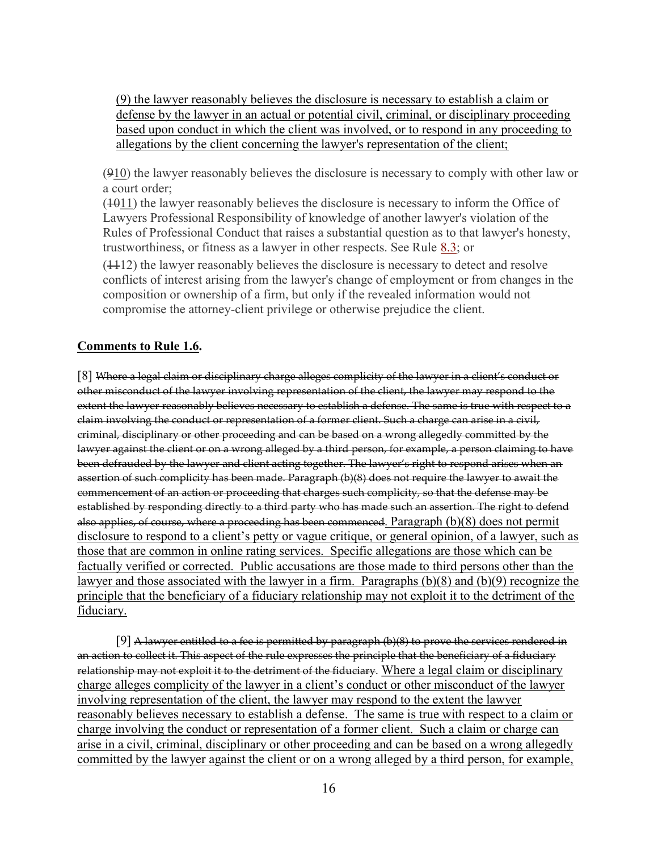(9) the lawyer reasonably believes the disclosure is necessary to establish a claim or defense by the lawyer in an actual or potential civil, criminal, or disciplinary proceeding based upon conduct in which the client was involved, or to respond in any proceeding to allegations by the client concerning the lawyer's representation of the client;

(910) the lawyer reasonably believes the disclosure is necessary to comply with other law or a court order;

(1011) the lawyer reasonably believes the disclosure is necessary to inform the Office of Lawyers Professional Responsibility of knowledge of another lawyer's violation of the Rules of Professional Conduct that raises a substantial question as to that lawyer's honesty, trustworthiness, or fitness as a lawyer in other respects. See Rule 8.3; or

 $(1112)$  the lawyer reasonably believes the disclosure is necessary to detect and resolve conflicts of interest arising from the lawyer's change of employment or from changes in the composition or ownership of a firm, but only if the revealed information would not compromise the attorney-client privilege or otherwise prejudice the client.

#### Comments to Rule 1.6.

[8] Where a legal claim or disciplinary charge alleges complicity of the lawyer in a client's conduct or other misconduct of the lawyer involving representation of the client, the lawyer may respond to the extent the lawyer reasonably believes necessary to establish a defense. The same is true with respect to a claim involving the conduct or representation of a former client. Such a charge can arise in a civil, criminal, disciplinary or other proceeding and can be based on a wrong allegedly committed by the lawyer against the client or on a wrong alleged by a third person, for example, a person claiming to have been defrauded by the lawyer and client acting together. The lawyer's right to respond arises when an assertion of such complicity has been made. Paragraph (b)(8) does not require the lawyer to await the commencement of an action or proceeding that charges such complicity, so that the defense may be established by responding directly to a third party who has made such an assertion. The right to defend also applies, of course, where a proceeding has been commenced. Paragraph (b)(8) does not permit disclosure to respond to a client's petty or vague critique, or general opinion, of a lawyer, such as those that are common in online rating services. Specific allegations are those which can be factually verified or corrected. Public accusations are those made to third persons other than the lawyer and those associated with the lawyer in a firm. Paragraphs (b)(8) and (b)(9) recognize the principle that the beneficiary of a fiduciary relationship may not exploit it to the detriment of the fiduciary.

 $[9]$  A lawyer entitled to a fee is permitted by paragraph (b)(8) to prove the services rendered in an action to collect it. This aspect of the rule expresses the principle that the beneficiary of a fiduciary relationship may not exploit it to the detriment of the fiduciary. Where a legal claim or disciplinary charge alleges complicity of the lawyer in a client's conduct or other misconduct of the lawyer involving representation of the client, the lawyer may respond to the extent the lawyer reasonably believes necessary to establish a defense. The same is true with respect to a claim or charge involving the conduct or representation of a former client. Such a claim or charge can arise in a civil, criminal, disciplinary or other proceeding and can be based on a wrong allegedly committed by the lawyer against the client or on a wrong alleged by a third person, for example,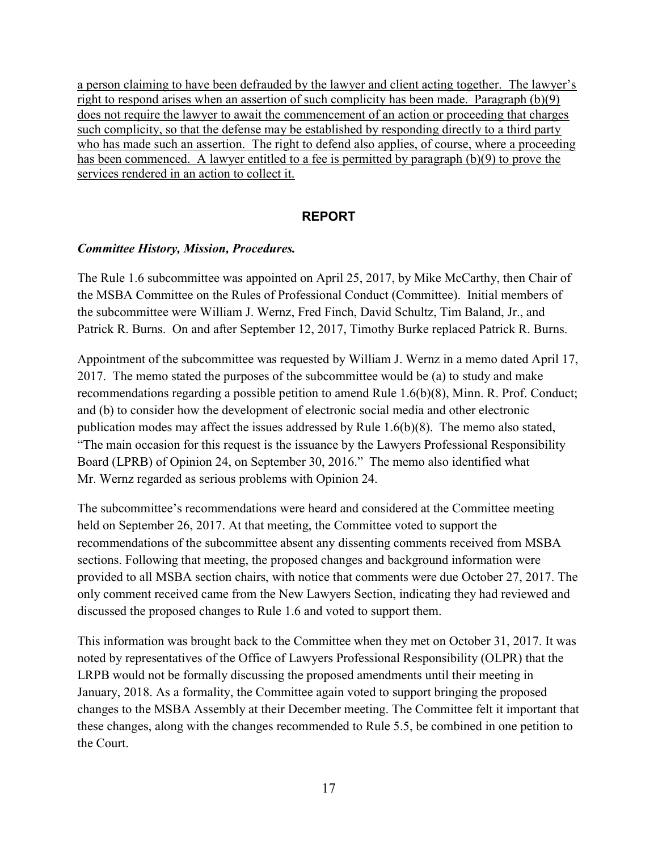a person claiming to have been defrauded by the lawyer and client acting together. The lawyer's right to respond arises when an assertion of such complicity has been made. Paragraph (b)(9) does not require the lawyer to await the commencement of an action or proceeding that charges such complicity, so that the defense may be established by responding directly to a third party who has made such an assertion. The right to defend also applies, of course, where a proceeding has been commenced. A lawyer entitled to a fee is permitted by paragraph (b)(9) to prove the services rendered in an action to collect it.

### REPORT

### Committee History, Mission, Procedures.

The Rule 1.6 subcommittee was appointed on April 25, 2017, by Mike McCarthy, then Chair of the MSBA Committee on the Rules of Professional Conduct (Committee). Initial members of the subcommittee were William J. Wernz, Fred Finch, David Schultz, Tim Baland, Jr., and Patrick R. Burns. On and after September 12, 2017, Timothy Burke replaced Patrick R. Burns.

Appointment of the subcommittee was requested by William J. Wernz in a memo dated April 17, 2017. The memo stated the purposes of the subcommittee would be (a) to study and make recommendations regarding a possible petition to amend Rule 1.6(b)(8), Minn. R. Prof. Conduct; and (b) to consider how the development of electronic social media and other electronic publication modes may affect the issues addressed by Rule 1.6(b)(8). The memo also stated, "The main occasion for this request is the issuance by the Lawyers Professional Responsibility Board (LPRB) of Opinion 24, on September 30, 2016." The memo also identified what Mr. Wernz regarded as serious problems with Opinion 24.

The subcommittee's recommendations were heard and considered at the Committee meeting held on September 26, 2017. At that meeting, the Committee voted to support the recommendations of the subcommittee absent any dissenting comments received from MSBA sections. Following that meeting, the proposed changes and background information were provided to all MSBA section chairs, with notice that comments were due October 27, 2017. The only comment received came from the New Lawyers Section, indicating they had reviewed and discussed the proposed changes to Rule 1.6 and voted to support them.

This information was brought back to the Committee when they met on October 31, 2017. It was noted by representatives of the Office of Lawyers Professional Responsibility (OLPR) that the LRPB would not be formally discussing the proposed amendments until their meeting in January, 2018. As a formality, the Committee again voted to support bringing the proposed changes to the MSBA Assembly at their December meeting. The Committee felt it important that these changes, along with the changes recommended to Rule 5.5, be combined in one petition to the Court.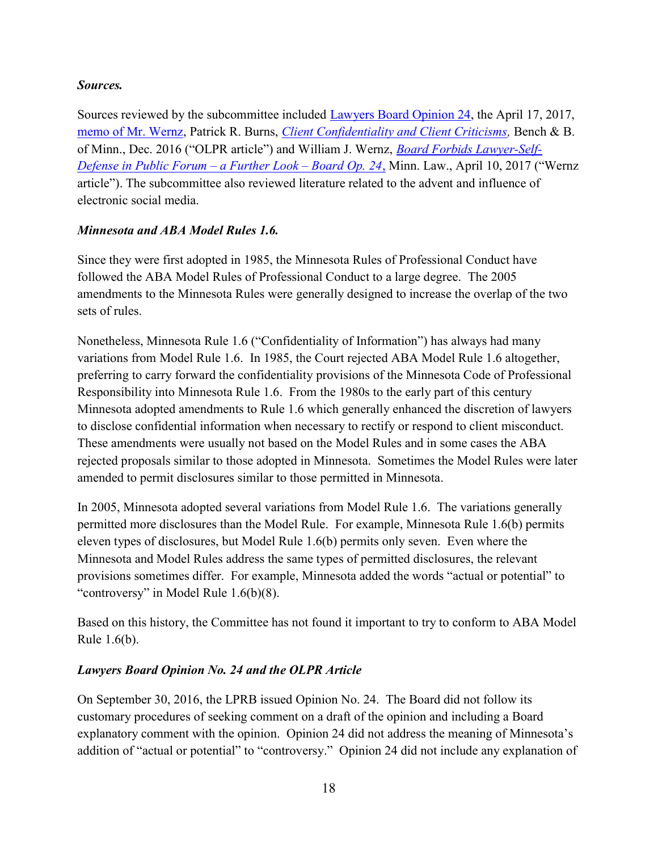### Sources.

Sources reviewed by the subcommittee included Lawyers Board Opinion 24, the April 17, 2017, memo of Mr. Wernz, Patrick R. Burns, *Client Confidentiality and Client Criticisms*, Bench & B. of Minn., Dec. 2016 ("OLPR article") and William J. Wernz, Board Forbids Lawyer-Self-Defense in Public Forum – a Further Look – Board Op. 24, Minn. Law., April 10, 2017 ("Wernz article"). The subcommittee also reviewed literature related to the advent and influence of electronic social media.

## Minnesota and ABA Model Rules 1.6.

Since they were first adopted in 1985, the Minnesota Rules of Professional Conduct have followed the ABA Model Rules of Professional Conduct to a large degree. The 2005 amendments to the Minnesota Rules were generally designed to increase the overlap of the two sets of rules.

Nonetheless, Minnesota Rule 1.6 ("Confidentiality of Information") has always had many variations from Model Rule 1.6. In 1985, the Court rejected ABA Model Rule 1.6 altogether, preferring to carry forward the confidentiality provisions of the Minnesota Code of Professional Responsibility into Minnesota Rule 1.6. From the 1980s to the early part of this century Minnesota adopted amendments to Rule 1.6 which generally enhanced the discretion of lawyers to disclose confidential information when necessary to rectify or respond to client misconduct. These amendments were usually not based on the Model Rules and in some cases the ABA rejected proposals similar to those adopted in Minnesota. Sometimes the Model Rules were later amended to permit disclosures similar to those permitted in Minnesota.

In 2005, Minnesota adopted several variations from Model Rule 1.6. The variations generally permitted more disclosures than the Model Rule. For example, Minnesota Rule 1.6(b) permits eleven types of disclosures, but Model Rule 1.6(b) permits only seven. Even where the Minnesota and Model Rules address the same types of permitted disclosures, the relevant provisions sometimes differ. For example, Minnesota added the words "actual or potential" to "controversy" in Model Rule 1.6(b)(8).

Based on this history, the Committee has not found it important to try to conform to ABA Model Rule 1.6(b).

# Lawyers Board Opinion No. 24 and the OLPR Article

On September 30, 2016, the LPRB issued Opinion No. 24. The Board did not follow its customary procedures of seeking comment on a draft of the opinion and including a Board explanatory comment with the opinion. Opinion 24 did not address the meaning of Minnesota's addition of "actual or potential" to "controversy." Opinion 24 did not include any explanation of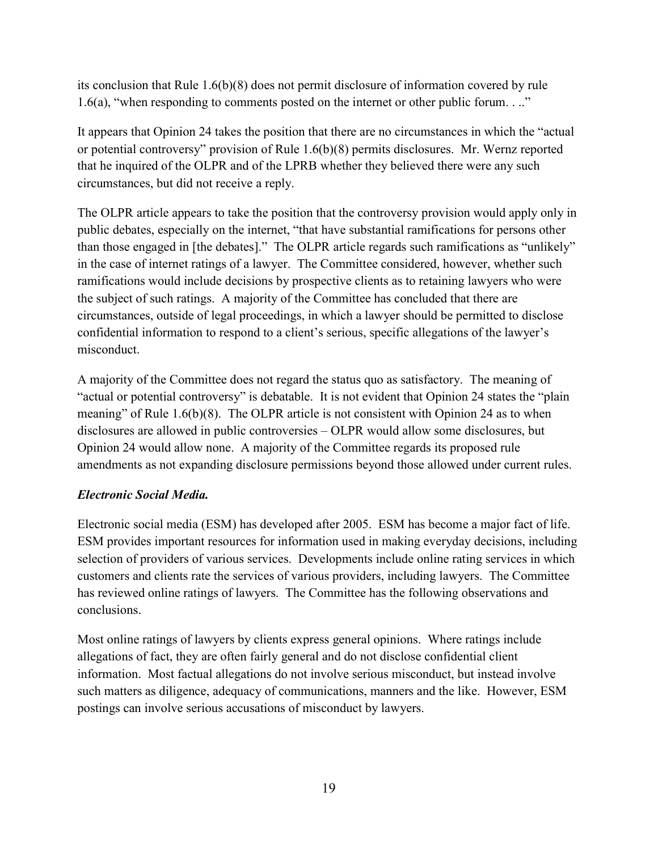its conclusion that Rule 1.6(b)(8) does not permit disclosure of information covered by rule 1.6(a), "when responding to comments posted on the internet or other public forum. . .."

It appears that Opinion 24 takes the position that there are no circumstances in which the "actual or potential controversy" provision of Rule 1.6(b)(8) permits disclosures. Mr. Wernz reported that he inquired of the OLPR and of the LPRB whether they believed there were any such circumstances, but did not receive a reply.

The OLPR article appears to take the position that the controversy provision would apply only in public debates, especially on the internet, "that have substantial ramifications for persons other than those engaged in [the debates]." The OLPR article regards such ramifications as "unlikely" in the case of internet ratings of a lawyer. The Committee considered, however, whether such ramifications would include decisions by prospective clients as to retaining lawyers who were the subject of such ratings. A majority of the Committee has concluded that there are circumstances, outside of legal proceedings, in which a lawyer should be permitted to disclose confidential information to respond to a client's serious, specific allegations of the lawyer's misconduct.

A majority of the Committee does not regard the status quo as satisfactory. The meaning of "actual or potential controversy" is debatable. It is not evident that Opinion 24 states the "plain meaning" of Rule 1.6(b)(8). The OLPR article is not consistent with Opinion 24 as to when disclosures are allowed in public controversies – OLPR would allow some disclosures, but Opinion 24 would allow none. A majority of the Committee regards its proposed rule amendments as not expanding disclosure permissions beyond those allowed under current rules.

### Electronic Social Media.

Electronic social media (ESM) has developed after 2005. ESM has become a major fact of life. ESM provides important resources for information used in making everyday decisions, including selection of providers of various services. Developments include online rating services in which customers and clients rate the services of various providers, including lawyers. The Committee has reviewed online ratings of lawyers. The Committee has the following observations and conclusions.

Most online ratings of lawyers by clients express general opinions. Where ratings include allegations of fact, they are often fairly general and do not disclose confidential client information. Most factual allegations do not involve serious misconduct, but instead involve such matters as diligence, adequacy of communications, manners and the like. However, ESM postings can involve serious accusations of misconduct by lawyers.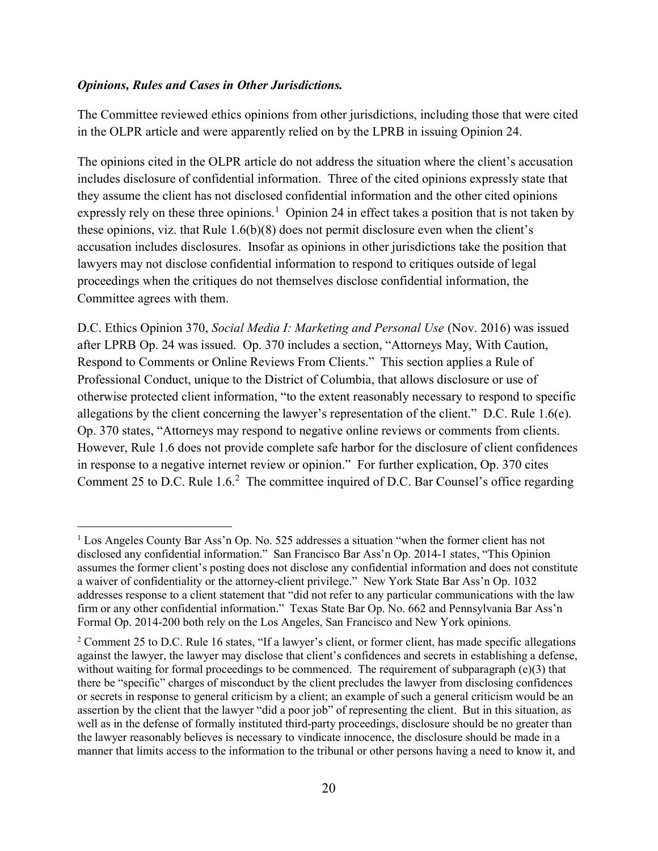#### Opinions, Rules and Cases in Other Jurisdictions.

 $\overline{a}$ 

The Committee reviewed ethics opinions from other jurisdictions, including those that were cited in the OLPR article and were apparently relied on by the LPRB in issuing Opinion 24.

The opinions cited in the OLPR article do not address the situation where the client's accusation includes disclosure of confidential information. Three of the cited opinions expressly state that they assume the client has not disclosed confidential information and the other cited opinions expressly rely on these three opinions.<sup>1</sup> Opinion 24 in effect takes a position that is not taken by these opinions, viz. that Rule 1.6(b)(8) does not permit disclosure even when the client's accusation includes disclosures. Insofar as opinions in other jurisdictions take the position that lawyers may not disclose confidential information to respond to critiques outside of legal proceedings when the critiques do not themselves disclose confidential information, the Committee agrees with them.

D.C. Ethics Opinion 370, Social Media I: Marketing and Personal Use (Nov. 2016) was issued after LPRB Op. 24 was issued. Op. 370 includes a section, "Attorneys May, With Caution, Respond to Comments or Online Reviews From Clients." This section applies a Rule of Professional Conduct, unique to the District of Columbia, that allows disclosure or use of otherwise protected client information, "to the extent reasonably necessary to respond to specific allegations by the client concerning the lawyer's representation of the client." D.C. Rule 1.6(e). Op. 370 states, "Attorneys may respond to negative online reviews or comments from clients. However, Rule 1.6 does not provide complete safe harbor for the disclosure of client confidences in response to a negative internet review or opinion." For further explication, Op. 370 cites Comment 25 to D.C. Rule  $1.6<sup>2</sup>$  The committee inquired of D.C. Bar Counsel's office regarding

<sup>&</sup>lt;sup>1</sup> Los Angeles County Bar Ass'n Op. No. 525 addresses a situation "when the former client has not disclosed any confidential information." San Francisco Bar Ass'n Op. 2014-1 states, "This Opinion assumes the former client's posting does not disclose any confidential information and does not constitute a waiver of confidentiality or the attorney-client privilege." New York State Bar Ass'n Op. 1032 addresses response to a client statement that "did not refer to any particular communications with the law firm or any other confidential information." Texas State Bar Op. No. 662 and Pennsylvania Bar Ass'n Formal Op. 2014-200 both rely on the Los Angeles, San Francisco and New York opinions.

<sup>&</sup>lt;sup>2</sup> Comment 25 to D.C. Rule 16 states, "If a lawyer's client, or former client, has made specific allegations against the lawyer, the lawyer may disclose that client's confidences and secrets in establishing a defense, without waiting for formal proceedings to be commenced. The requirement of subparagraph  $(e)(3)$  that there be "specific" charges of misconduct by the client precludes the lawyer from disclosing confidences or secrets in response to general criticism by a client; an example of such a general criticism would be an assertion by the client that the lawyer "did a poor job" of representing the client. But in this situation, as well as in the defense of formally instituted third-party proceedings, disclosure should be no greater than the lawyer reasonably believes is necessary to vindicate innocence, the disclosure should be made in a manner that limits access to the information to the tribunal or other persons having a need to know it, and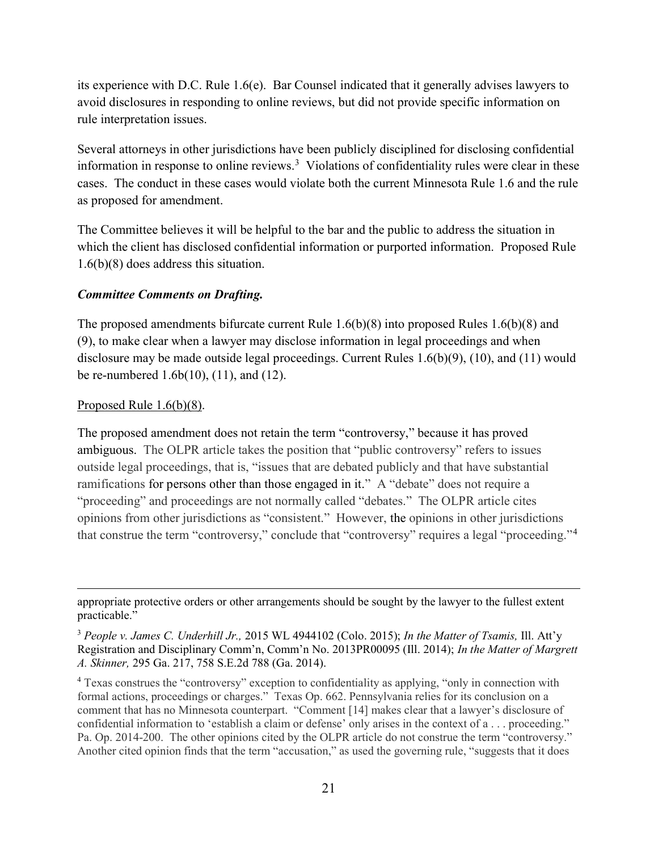its experience with D.C. Rule 1.6(e). Bar Counsel indicated that it generally advises lawyers to avoid disclosures in responding to online reviews, but did not provide specific information on rule interpretation issues.

Several attorneys in other jurisdictions have been publicly disciplined for disclosing confidential information in response to online reviews.<sup>3</sup> Violations of confidentiality rules were clear in these cases. The conduct in these cases would violate both the current Minnesota Rule 1.6 and the rule as proposed for amendment.

The Committee believes it will be helpful to the bar and the public to address the situation in which the client has disclosed confidential information or purported information. Proposed Rule 1.6(b)(8) does address this situation.

#### Committee Comments on Drafting.

The proposed amendments bifurcate current Rule 1.6(b)(8) into proposed Rules 1.6(b)(8) and (9), to make clear when a lawyer may disclose information in legal proceedings and when disclosure may be made outside legal proceedings. Current Rules 1.6(b)(9), (10), and (11) would be re-numbered 1.6b(10), (11), and (12).

#### Proposed Rule 1.6(b)(8).

 $\overline{a}$ 

The proposed amendment does not retain the term "controversy," because it has proved ambiguous. The OLPR article takes the position that "public controversy" refers to issues outside legal proceedings, that is, "issues that are debated publicly and that have substantial ramifications for persons other than those engaged in it." A "debate" does not require a "proceeding" and proceedings are not normally called "debates." The OLPR article cites opinions from other jurisdictions as "consistent." However, the opinions in other jurisdictions that construe the term "controversy," conclude that "controversy" requires a legal "proceeding."<sup>4</sup>

appropriate protective orders or other arrangements should be sought by the lawyer to the fullest extent practicable."

<sup>&</sup>lt;sup>3</sup> People v. James C. Underhill Jr., 2015 WL 4944102 (Colo. 2015); In the Matter of Tsamis, Ill. Att'y Registration and Disciplinary Comm'n, Comm'n No. 2013PR00095 (Ill. 2014); In the Matter of Margrett A. Skinner, 295 Ga. 217, 758 S.E.2d 788 (Ga. 2014).

<sup>4</sup> Texas construes the "controversy" exception to confidentiality as applying, "only in connection with formal actions, proceedings or charges." Texas Op. 662. Pennsylvania relies for its conclusion on a comment that has no Minnesota counterpart. "Comment [14] makes clear that a lawyer's disclosure of confidential information to 'establish a claim or defense' only arises in the context of a . . . proceeding." Pa. Op. 2014-200. The other opinions cited by the OLPR article do not construe the term "controversy." Another cited opinion finds that the term "accusation," as used the governing rule, "suggests that it does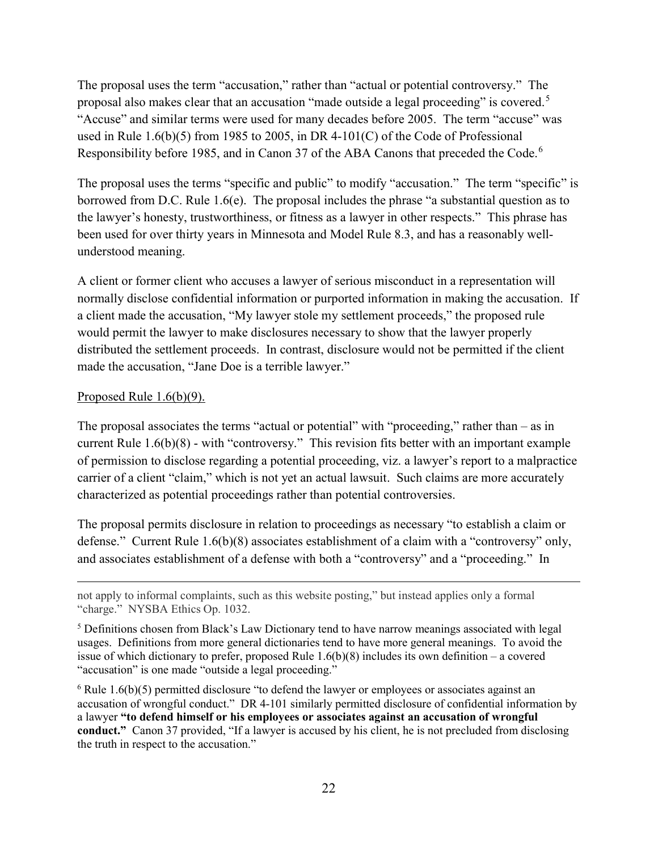The proposal uses the term "accusation," rather than "actual or potential controversy." The proposal also makes clear that an accusation "made outside a legal proceeding" is covered.<sup>5</sup> "Accuse" and similar terms were used for many decades before 2005. The term "accuse" was used in Rule 1.6(b)(5) from 1985 to 2005, in DR 4-101(C) of the Code of Professional Responsibility before 1985, and in Canon 37 of the ABA Canons that preceded the Code.<sup>6</sup>

The proposal uses the terms "specific and public" to modify "accusation." The term "specific" is borrowed from D.C. Rule 1.6(e). The proposal includes the phrase "a substantial question as to the lawyer's honesty, trustworthiness, or fitness as a lawyer in other respects." This phrase has been used for over thirty years in Minnesota and Model Rule 8.3, and has a reasonably wellunderstood meaning.

A client or former client who accuses a lawyer of serious misconduct in a representation will normally disclose confidential information or purported information in making the accusation. If a client made the accusation, "My lawyer stole my settlement proceeds," the proposed rule would permit the lawyer to make disclosures necessary to show that the lawyer properly distributed the settlement proceeds. In contrast, disclosure would not be permitted if the client made the accusation, "Jane Doe is a terrible lawyer."

#### Proposed Rule 1.6(b)(9).

 $\overline{a}$ 

The proposal associates the terms "actual or potential" with "proceeding," rather than – as in current Rule 1.6(b)(8) - with "controversy." This revision fits better with an important example of permission to disclose regarding a potential proceeding, viz. a lawyer's report to a malpractice carrier of a client "claim," which is not yet an actual lawsuit. Such claims are more accurately characterized as potential proceedings rather than potential controversies.

The proposal permits disclosure in relation to proceedings as necessary "to establish a claim or defense." Current Rule 1.6(b)(8) associates establishment of a claim with a "controversy" only, and associates establishment of a defense with both a "controversy" and a "proceeding." In

not apply to informal complaints, such as this website posting," but instead applies only a formal "charge." NYSBA Ethics Op. 1032.

<sup>&</sup>lt;sup>5</sup> Definitions chosen from Black's Law Dictionary tend to have narrow meanings associated with legal usages. Definitions from more general dictionaries tend to have more general meanings. To avoid the issue of which dictionary to prefer, proposed Rule  $1.6(b)(8)$  includes its own definition – a covered "accusation" is one made "outside a legal proceeding."

 $6$  Rule 1.6(b)(5) permitted disclosure "to defend the lawyer or employees or associates against an accusation of wrongful conduct." DR 4-101 similarly permitted disclosure of confidential information by a lawyer "to defend himself or his employees or associates against an accusation of wrongful conduct." Canon 37 provided, "If a lawyer is accused by his client, he is not precluded from disclosing the truth in respect to the accusation."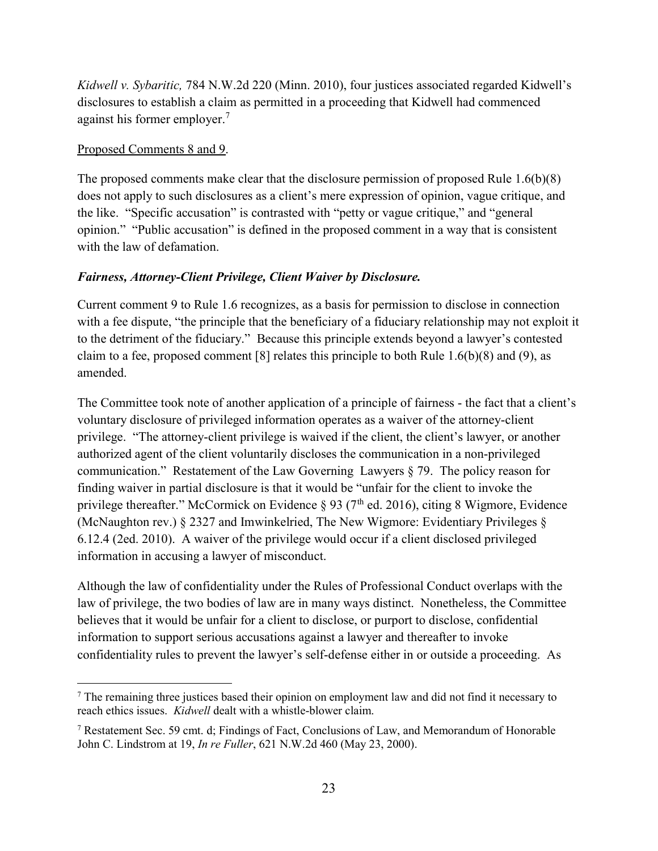Kidwell v. Sybaritic, 784 N.W.2d 220 (Minn. 2010), four justices associated regarded Kidwell's disclosures to establish a claim as permitted in a proceeding that Kidwell had commenced against his former employer.<sup>7</sup>

### Proposed Comments 8 and 9.

 $\overline{a}$ 

The proposed comments make clear that the disclosure permission of proposed Rule 1.6(b)(8) does not apply to such disclosures as a client's mere expression of opinion, vague critique, and the like. "Specific accusation" is contrasted with "petty or vague critique," and "general opinion." "Public accusation" is defined in the proposed comment in a way that is consistent with the law of defamation.

### Fairness, Attorney-Client Privilege, Client Waiver by Disclosure.

Current comment 9 to Rule 1.6 recognizes, as a basis for permission to disclose in connection with a fee dispute, "the principle that the beneficiary of a fiduciary relationship may not exploit it to the detriment of the fiduciary." Because this principle extends beyond a lawyer's contested claim to a fee, proposed comment [8] relates this principle to both Rule  $1.6(b)(8)$  and (9), as amended.

The Committee took note of another application of a principle of fairness - the fact that a client's voluntary disclosure of privileged information operates as a waiver of the attorney-client privilege. "The attorney-client privilege is waived if the client, the client's lawyer, or another authorized agent of the client voluntarily discloses the communication in a non-privileged communication." Restatement of the Law Governing Lawyers § 79. The policy reason for finding waiver in partial disclosure is that it would be "unfair for the client to invoke the privilege thereafter." McCormick on Evidence § 93 (7<sup>th</sup> ed. 2016), citing 8 Wigmore, Evidence (McNaughton rev.) § 2327 and Imwinkelried, The New Wigmore: Evidentiary Privileges § 6.12.4 (2ed. 2010). A waiver of the privilege would occur if a client disclosed privileged information in accusing a lawyer of misconduct.

Although the law of confidentiality under the Rules of Professional Conduct overlaps with the law of privilege, the two bodies of law are in many ways distinct. Nonetheless, the Committee believes that it would be unfair for a client to disclose, or purport to disclose, confidential information to support serious accusations against a lawyer and thereafter to invoke confidentiality rules to prevent the lawyer's self-defense either in or outside a proceeding. As

 $<sup>7</sup>$  The remaining three justices based their opinion on employment law and did not find it necessary to</sup> reach ethics issues. Kidwell dealt with a whistle-blower claim.

<sup>7</sup> Restatement Sec. 59 cmt. d; Findings of Fact, Conclusions of Law, and Memorandum of Honorable John C. Lindstrom at 19, In re Fuller, 621 N.W.2d 460 (May 23, 2000).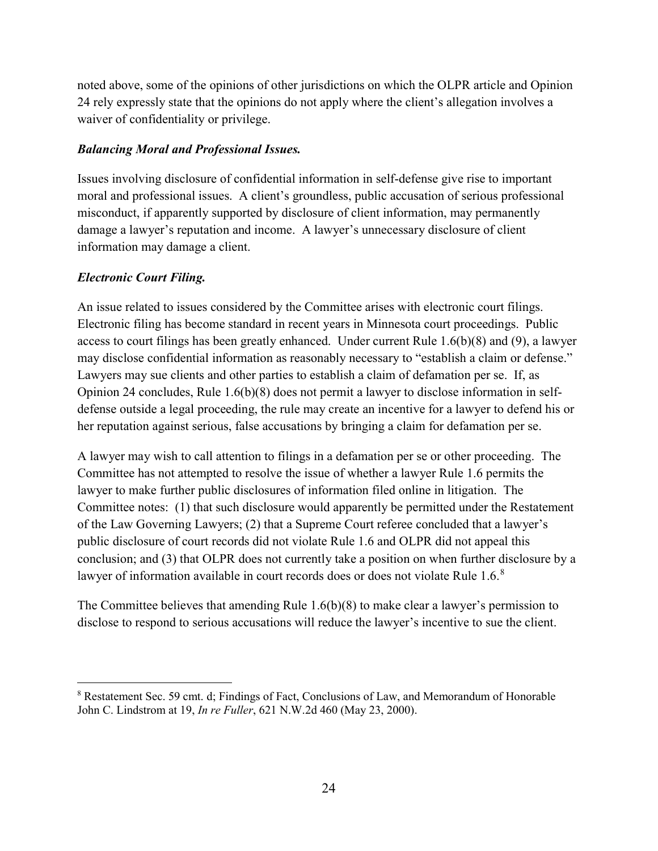noted above, some of the opinions of other jurisdictions on which the OLPR article and Opinion 24 rely expressly state that the opinions do not apply where the client's allegation involves a waiver of confidentiality or privilege.

### Balancing Moral and Professional Issues.

Issues involving disclosure of confidential information in self-defense give rise to important moral and professional issues. A client's groundless, public accusation of serious professional misconduct, if apparently supported by disclosure of client information, may permanently damage a lawyer's reputation and income. A lawyer's unnecessary disclosure of client information may damage a client.

## Electronic Court Filing.

 $\overline{a}$ 

An issue related to issues considered by the Committee arises with electronic court filings. Electronic filing has become standard in recent years in Minnesota court proceedings. Public access to court filings has been greatly enhanced. Under current Rule 1.6(b)(8) and (9), a lawyer may disclose confidential information as reasonably necessary to "establish a claim or defense." Lawyers may sue clients and other parties to establish a claim of defamation per se. If, as Opinion 24 concludes, Rule 1.6(b)(8) does not permit a lawyer to disclose information in selfdefense outside a legal proceeding, the rule may create an incentive for a lawyer to defend his or her reputation against serious, false accusations by bringing a claim for defamation per se.

A lawyer may wish to call attention to filings in a defamation per se or other proceeding. The Committee has not attempted to resolve the issue of whether a lawyer Rule 1.6 permits the lawyer to make further public disclosures of information filed online in litigation. The Committee notes: (1) that such disclosure would apparently be permitted under the Restatement of the Law Governing Lawyers; (2) that a Supreme Court referee concluded that a lawyer's public disclosure of court records did not violate Rule 1.6 and OLPR did not appeal this conclusion; and (3) that OLPR does not currently take a position on when further disclosure by a lawyer of information available in court records does or does not violate Rule 1.6. $8$ 

The Committee believes that amending Rule 1.6(b)(8) to make clear a lawyer's permission to disclose to respond to serious accusations will reduce the lawyer's incentive to sue the client.

<sup>&</sup>lt;sup>8</sup> Restatement Sec. 59 cmt. d; Findings of Fact, Conclusions of Law, and Memorandum of Honorable John C. Lindstrom at 19, In re Fuller, 621 N.W.2d 460 (May 23, 2000).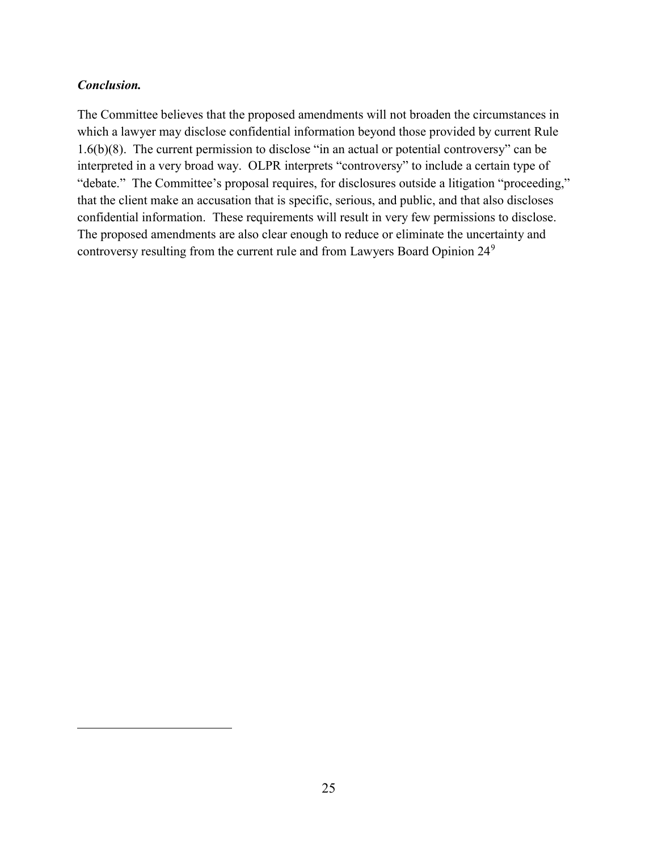### Conclusion.

 $\overline{a}$ 

The Committee believes that the proposed amendments will not broaden the circumstances in which a lawyer may disclose confidential information beyond those provided by current Rule 1.6(b)(8). The current permission to disclose "in an actual or potential controversy" can be interpreted in a very broad way. OLPR interprets "controversy" to include a certain type of "debate." The Committee's proposal requires, for disclosures outside a litigation "proceeding," that the client make an accusation that is specific, serious, and public, and that also discloses confidential information. These requirements will result in very few permissions to disclose. The proposed amendments are also clear enough to reduce or eliminate the uncertainty and controversy resulting from the current rule and from Lawyers Board Opinion 24<sup>9</sup>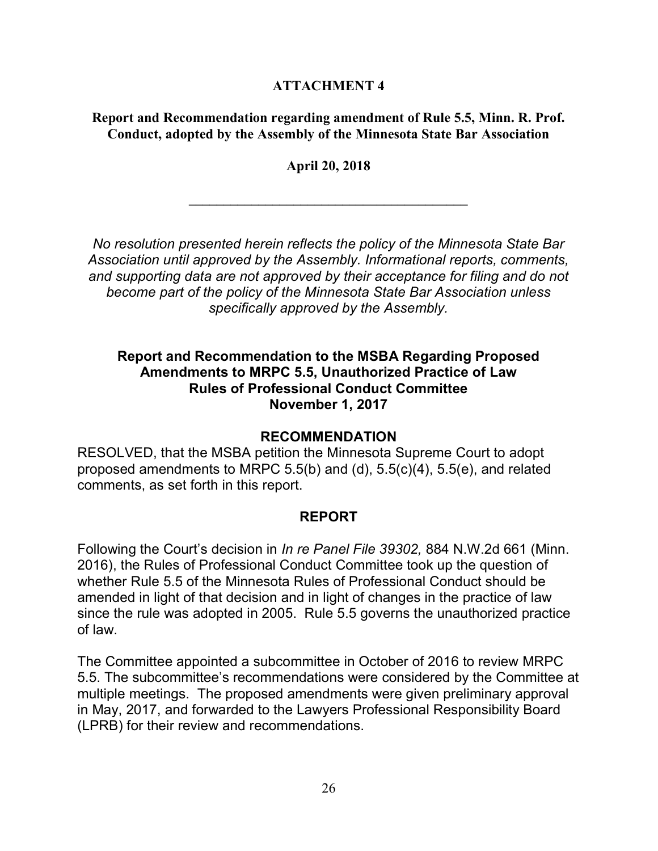# ATTACHMENT 4

# Report and Recommendation regarding amendment of Rule 5.5, Minn. R. Prof. Conduct, adopted by the Assembly of the Minnesota State Bar Association

April 20, 2018

 $\overline{\phantom{a}}$  , and the set of the set of the set of the set of the set of the set of the set of the set of the set of the set of the set of the set of the set of the set of the set of the set of the set of the set of the s

No resolution presented herein reflects the policy of the Minnesota State Bar Association until approved by the Assembly. Informational reports, comments, and supporting data are not approved by their acceptance for filing and do not become part of the policy of the Minnesota State Bar Association unless specifically approved by the Assembly.

# Report and Recommendation to the MSBA Regarding Proposed Amendments to MRPC 5.5, Unauthorized Practice of Law Rules of Professional Conduct Committee November 1, 2017

# RECOMMENDATION

RESOLVED, that the MSBA petition the Minnesota Supreme Court to adopt proposed amendments to MRPC 5.5(b) and (d), 5.5(c)(4), 5.5(e), and related comments, as set forth in this report.

# REPORT

Following the Court's decision in In re Panel File 39302, 884 N.W.2d 661 (Minn. 2016), the Rules of Professional Conduct Committee took up the question of whether Rule 5.5 of the Minnesota Rules of Professional Conduct should be amended in light of that decision and in light of changes in the practice of law since the rule was adopted in 2005. Rule 5.5 governs the unauthorized practice of law.

The Committee appointed a subcommittee in October of 2016 to review MRPC 5.5. The subcommittee's recommendations were considered by the Committee at multiple meetings. The proposed amendments were given preliminary approval in May, 2017, and forwarded to the Lawyers Professional Responsibility Board (LPRB) for their review and recommendations.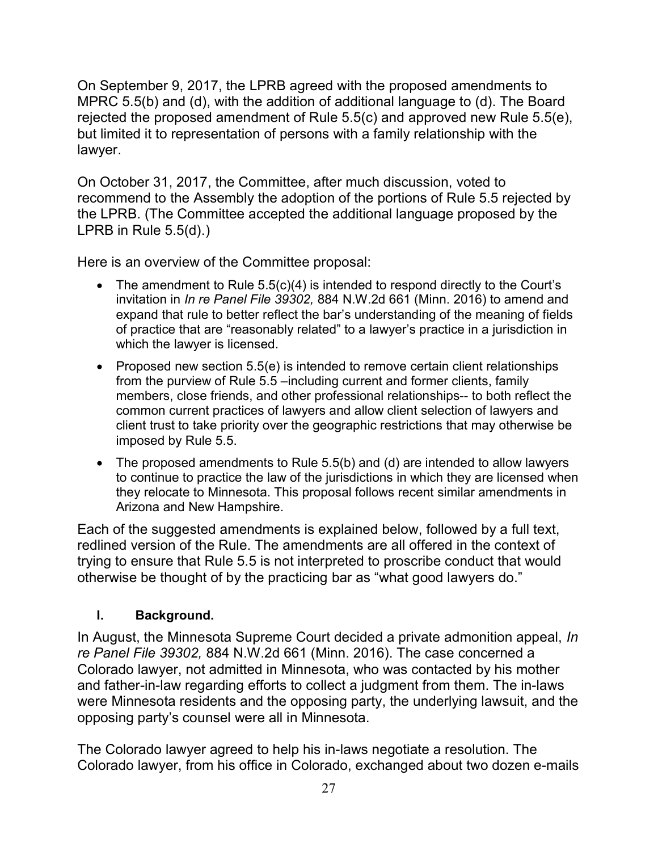On September 9, 2017, the LPRB agreed with the proposed amendments to MPRC 5.5(b) and (d), with the addition of additional language to (d). The Board rejected the proposed amendment of Rule 5.5(c) and approved new Rule 5.5(e), but limited it to representation of persons with a family relationship with the lawyer.

On October 31, 2017, the Committee, after much discussion, voted to recommend to the Assembly the adoption of the portions of Rule 5.5 rejected by the LPRB. (The Committee accepted the additional language proposed by the LPRB in Rule 5.5(d).)

Here is an overview of the Committee proposal:

- The amendment to Rule  $5.5(c)(4)$  is intended to respond directly to the Court's invitation in In re Panel File 39302, 884 N.W.2d 661 (Minn. 2016) to amend and expand that rule to better reflect the bar's understanding of the meaning of fields of practice that are "reasonably related" to a lawyer's practice in a jurisdiction in which the lawyer is licensed.
- Proposed new section  $5.5(e)$  is intended to remove certain client relationships from the purview of Rule 5.5 –including current and former clients, family members, close friends, and other professional relationships-- to both reflect the common current practices of lawyers and allow client selection of lawyers and client trust to take priority over the geographic restrictions that may otherwise be imposed by Rule 5.5.
- $\bullet$  The proposed amendments to Rule 5.5(b) and (d) are intended to allow lawyers to continue to practice the law of the jurisdictions in which they are licensed when they relocate to Minnesota. This proposal follows recent similar amendments in Arizona and New Hampshire.

Each of the suggested amendments is explained below, followed by a full text, redlined version of the Rule. The amendments are all offered in the context of trying to ensure that Rule 5.5 is not interpreted to proscribe conduct that would otherwise be thought of by the practicing bar as "what good lawyers do."

# I. Background.

In August, the Minnesota Supreme Court decided a private admonition appeal, In re Panel File 39302, 884 N.W.2d 661 (Minn. 2016). The case concerned a Colorado lawyer, not admitted in Minnesota, who was contacted by his mother and father-in-law regarding efforts to collect a judgment from them. The in-laws were Minnesota residents and the opposing party, the underlying lawsuit, and the opposing party's counsel were all in Minnesota.

The Colorado lawyer agreed to help his in-laws negotiate a resolution. The Colorado lawyer, from his office in Colorado, exchanged about two dozen e-mails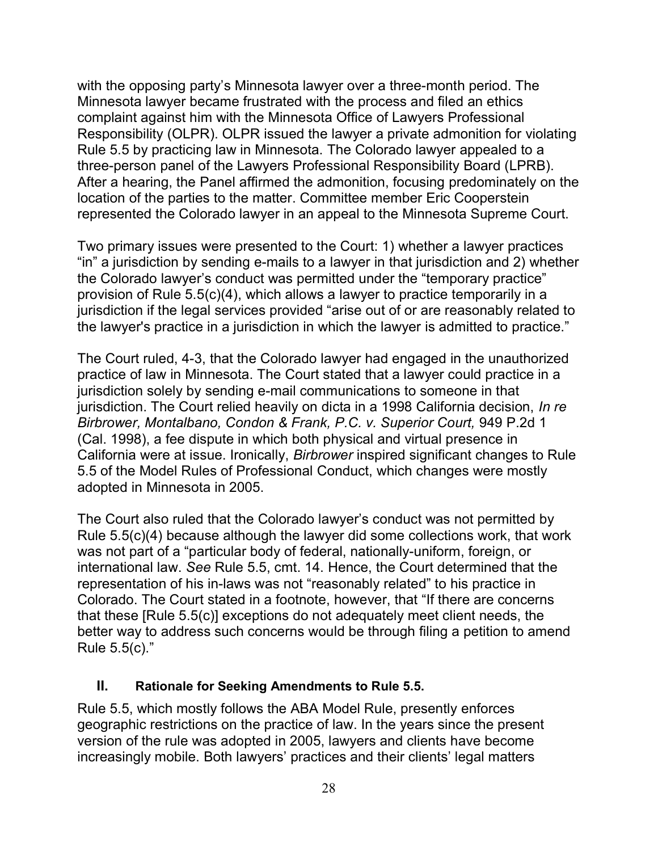with the opposing party's Minnesota lawyer over a three-month period. The Minnesota lawyer became frustrated with the process and filed an ethics complaint against him with the Minnesota Office of Lawyers Professional Responsibility (OLPR). OLPR issued the lawyer a private admonition for violating Rule 5.5 by practicing law in Minnesota. The Colorado lawyer appealed to a three-person panel of the Lawyers Professional Responsibility Board (LPRB). After a hearing, the Panel affirmed the admonition, focusing predominately on the location of the parties to the matter. Committee member Eric Cooperstein represented the Colorado lawyer in an appeal to the Minnesota Supreme Court.

Two primary issues were presented to the Court: 1) whether a lawyer practices "in" a jurisdiction by sending e-mails to a lawyer in that jurisdiction and 2) whether the Colorado lawyer's conduct was permitted under the "temporary practice" provision of Rule 5.5(c)(4), which allows a lawyer to practice temporarily in a jurisdiction if the legal services provided "arise out of or are reasonably related to the lawyer's practice in a jurisdiction in which the lawyer is admitted to practice."

The Court ruled, 4-3, that the Colorado lawyer had engaged in the unauthorized practice of law in Minnesota. The Court stated that a lawyer could practice in a jurisdiction solely by sending e-mail communications to someone in that jurisdiction. The Court relied heavily on dicta in a 1998 California decision, *In re* Birbrower, Montalbano, Condon & Frank, P.C. v. Superior Court, 949 P.2d 1 (Cal. 1998), a fee dispute in which both physical and virtual presence in California were at issue. Ironically, Birbrower inspired significant changes to Rule 5.5 of the Model Rules of Professional Conduct, which changes were mostly adopted in Minnesota in 2005.

The Court also ruled that the Colorado lawyer's conduct was not permitted by Rule 5.5(c)(4) because although the lawyer did some collections work, that work was not part of a "particular body of federal, nationally-uniform, foreign, or international law. See Rule 5.5, cmt. 14. Hence, the Court determined that the representation of his in-laws was not "reasonably related" to his practice in Colorado. The Court stated in a footnote, however, that "If there are concerns that these [Rule 5.5(c)] exceptions do not adequately meet client needs, the better way to address such concerns would be through filing a petition to amend Rule 5.5(c)."

# II. Rationale for Seeking Amendments to Rule 5.5.

Rule 5.5, which mostly follows the ABA Model Rule, presently enforces geographic restrictions on the practice of law. In the years since the present version of the rule was adopted in 2005, lawyers and clients have become increasingly mobile. Both lawyers' practices and their clients' legal matters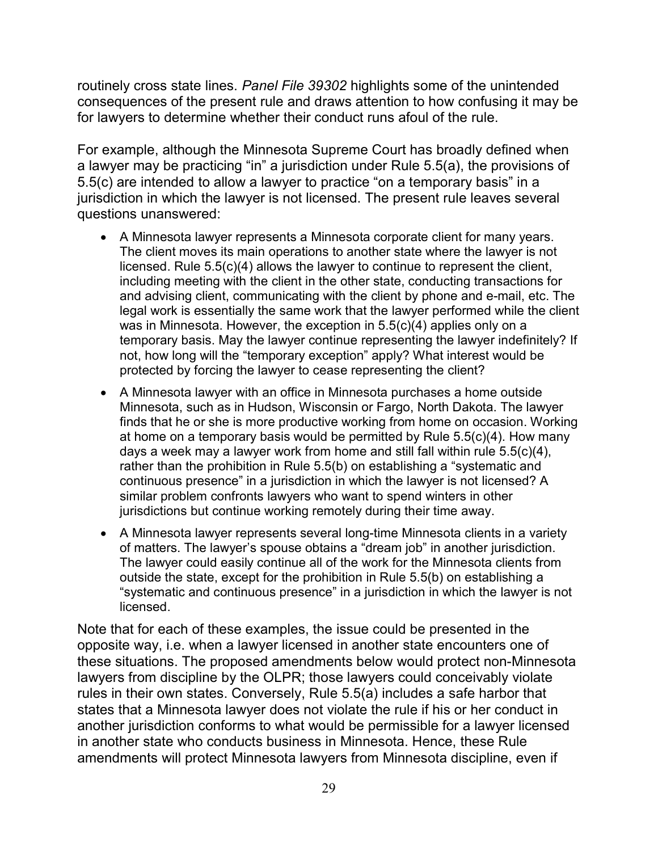routinely cross state lines. Panel File 39302 highlights some of the unintended consequences of the present rule and draws attention to how confusing it may be for lawyers to determine whether their conduct runs afoul of the rule.

For example, although the Minnesota Supreme Court has broadly defined when a lawyer may be practicing "in" a jurisdiction under Rule 5.5(a), the provisions of 5.5(c) are intended to allow a lawyer to practice "on a temporary basis" in a jurisdiction in which the lawyer is not licensed. The present rule leaves several questions unanswered:

- A Minnesota lawyer represents a Minnesota corporate client for many years. The client moves its main operations to another state where the lawyer is not licensed. Rule 5.5(c)(4) allows the lawyer to continue to represent the client, including meeting with the client in the other state, conducting transactions for and advising client, communicating with the client by phone and e-mail, etc. The legal work is essentially the same work that the lawyer performed while the client was in Minnesota. However, the exception in 5.5(c)(4) applies only on a temporary basis. May the lawyer continue representing the lawyer indefinitely? If not, how long will the "temporary exception" apply? What interest would be protected by forcing the lawyer to cease representing the client?
- A Minnesota lawyer with an office in Minnesota purchases a home outside Minnesota, such as in Hudson, Wisconsin or Fargo, North Dakota. The lawyer finds that he or she is more productive working from home on occasion. Working at home on a temporary basis would be permitted by Rule 5.5(c)(4). How many days a week may a lawyer work from home and still fall within rule 5.5(c)(4), rather than the prohibition in Rule 5.5(b) on establishing a "systematic and continuous presence" in a jurisdiction in which the lawyer is not licensed? A similar problem confronts lawyers who want to spend winters in other jurisdictions but continue working remotely during their time away.
- A Minnesota lawyer represents several long-time Minnesota clients in a variety of matters. The lawyer's spouse obtains a "dream job" in another jurisdiction. The lawyer could easily continue all of the work for the Minnesota clients from outside the state, except for the prohibition in Rule 5.5(b) on establishing a "systematic and continuous presence" in a jurisdiction in which the lawyer is not licensed.

Note that for each of these examples, the issue could be presented in the opposite way, i.e. when a lawyer licensed in another state encounters one of these situations. The proposed amendments below would protect non-Minnesota lawyers from discipline by the OLPR; those lawyers could conceivably violate rules in their own states. Conversely, Rule 5.5(a) includes a safe harbor that states that a Minnesota lawyer does not violate the rule if his or her conduct in another jurisdiction conforms to what would be permissible for a lawyer licensed in another state who conducts business in Minnesota. Hence, these Rule amendments will protect Minnesota lawyers from Minnesota discipline, even if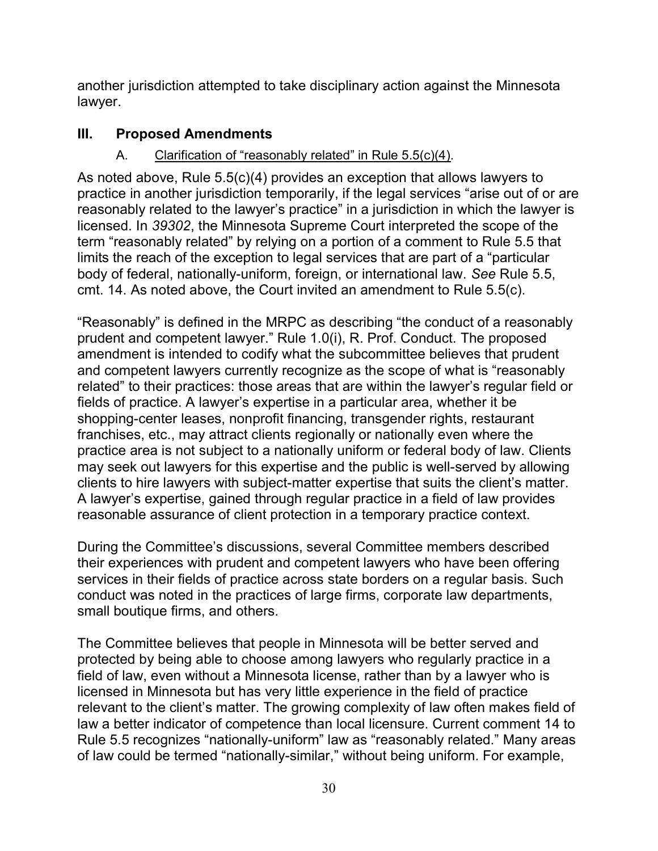another jurisdiction attempted to take disciplinary action against the Minnesota lawyer.

# III. Proposed Amendments

# A. Clarification of "reasonably related" in Rule 5.5(c)(4).

As noted above, Rule 5.5(c)(4) provides an exception that allows lawyers to practice in another jurisdiction temporarily, if the legal services "arise out of or are reasonably related to the lawyer's practice" in a jurisdiction in which the lawyer is licensed. In 39302, the Minnesota Supreme Court interpreted the scope of the term "reasonably related" by relying on a portion of a comment to Rule 5.5 that limits the reach of the exception to legal services that are part of a "particular body of federal, nationally-uniform, foreign, or international law. See Rule 5.5, cmt. 14. As noted above, the Court invited an amendment to Rule 5.5(c).

"Reasonably" is defined in the MRPC as describing "the conduct of a reasonably prudent and competent lawyer." Rule 1.0(i), R. Prof. Conduct. The proposed amendment is intended to codify what the subcommittee believes that prudent and competent lawyers currently recognize as the scope of what is "reasonably related" to their practices: those areas that are within the lawyer's regular field or fields of practice. A lawyer's expertise in a particular area, whether it be shopping-center leases, nonprofit financing, transgender rights, restaurant franchises, etc., may attract clients regionally or nationally even where the practice area is not subject to a nationally uniform or federal body of law. Clients may seek out lawyers for this expertise and the public is well-served by allowing clients to hire lawyers with subject-matter expertise that suits the client's matter. A lawyer's expertise, gained through regular practice in a field of law provides reasonable assurance of client protection in a temporary practice context.

During the Committee's discussions, several Committee members described their experiences with prudent and competent lawyers who have been offering services in their fields of practice across state borders on a regular basis. Such conduct was noted in the practices of large firms, corporate law departments, small boutique firms, and others.

The Committee believes that people in Minnesota will be better served and protected by being able to choose among lawyers who regularly practice in a field of law, even without a Minnesota license, rather than by a lawyer who is licensed in Minnesota but has very little experience in the field of practice relevant to the client's matter. The growing complexity of law often makes field of law a better indicator of competence than local licensure. Current comment 14 to Rule 5.5 recognizes "nationally-uniform" law as "reasonably related." Many areas of law could be termed "nationally-similar," without being uniform. For example,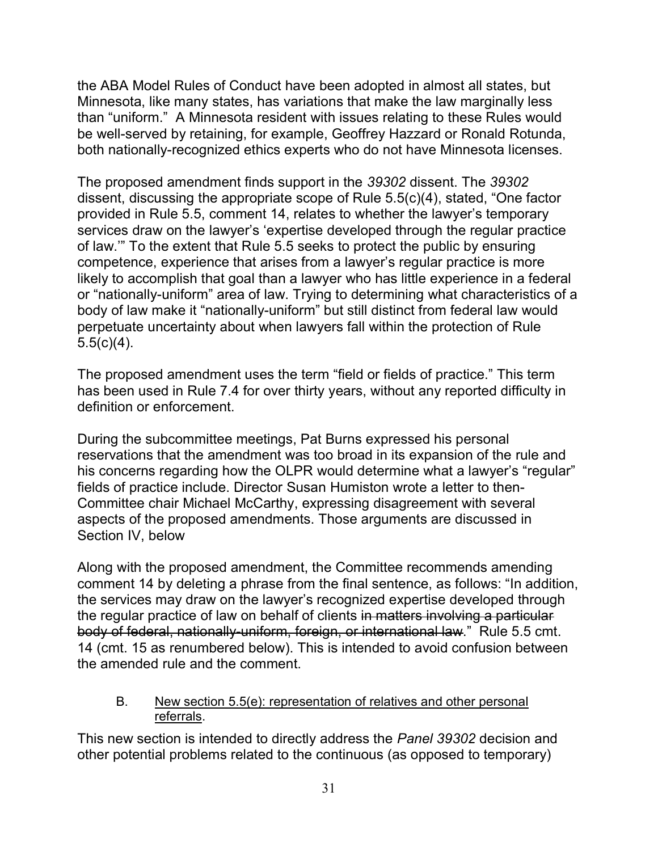the ABA Model Rules of Conduct have been adopted in almost all states, but Minnesota, like many states, has variations that make the law marginally less than "uniform." A Minnesota resident with issues relating to these Rules would be well-served by retaining, for example, Geoffrey Hazzard or Ronald Rotunda, both nationally-recognized ethics experts who do not have Minnesota licenses.

The proposed amendment finds support in the 39302 dissent. The 39302 dissent, discussing the appropriate scope of Rule 5.5(c)(4), stated, "One factor provided in Rule 5.5, comment 14, relates to whether the lawyer's temporary services draw on the lawyer's 'expertise developed through the regular practice of law.'" To the extent that Rule 5.5 seeks to protect the public by ensuring competence, experience that arises from a lawyer's regular practice is more likely to accomplish that goal than a lawyer who has little experience in a federal or "nationally-uniform" area of law. Trying to determining what characteristics of a body of law make it "nationally-uniform" but still distinct from federal law would perpetuate uncertainty about when lawyers fall within the protection of Rule  $5.5(c)(4)$ .

The proposed amendment uses the term "field or fields of practice." This term has been used in Rule 7.4 for over thirty years, without any reported difficulty in definition or enforcement.

During the subcommittee meetings, Pat Burns expressed his personal reservations that the amendment was too broad in its expansion of the rule and his concerns regarding how the OLPR would determine what a lawyer's "regular" fields of practice include. Director Susan Humiston wrote a letter to then-Committee chair Michael McCarthy, expressing disagreement with several aspects of the proposed amendments. Those arguments are discussed in Section IV, below

Along with the proposed amendment, the Committee recommends amending comment 14 by deleting a phrase from the final sentence, as follows: "In addition, the services may draw on the lawyer's recognized expertise developed through the regular practice of law on behalf of clients in matters involving a particular body of federal, nationally-uniform, foreign, or international law." Rule 5.5 cmt. 14 (cmt. 15 as renumbered below). This is intended to avoid confusion between the amended rule and the comment.

B. New section 5.5(e): representation of relatives and other personal referrals.

This new section is intended to directly address the Panel 39302 decision and other potential problems related to the continuous (as opposed to temporary)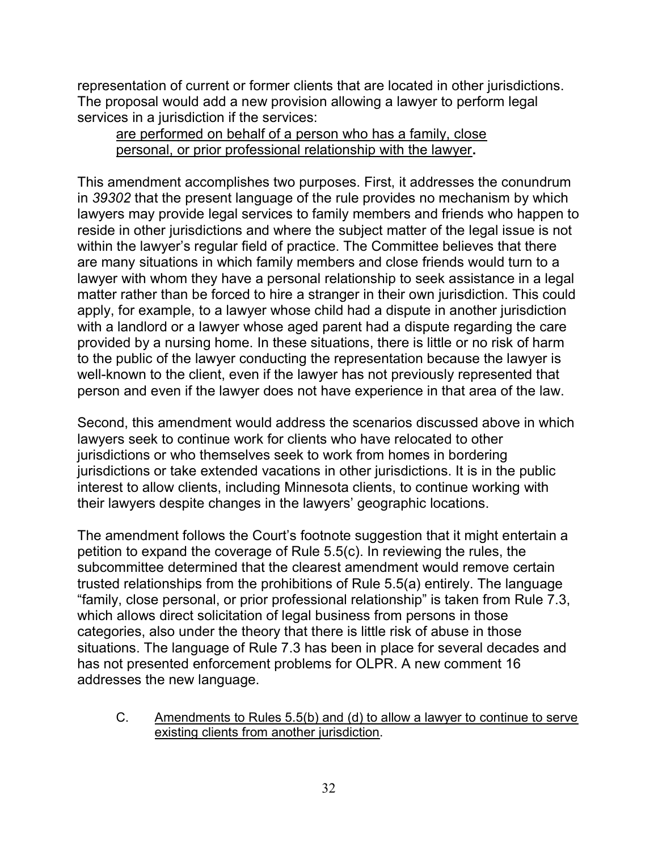representation of current or former clients that are located in other jurisdictions. The proposal would add a new provision allowing a lawyer to perform legal services in a jurisdiction if the services:

# are performed on behalf of a person who has a family, close personal, or prior professional relationship with the lawyer.

This amendment accomplishes two purposes. First, it addresses the conundrum in 39302 that the present language of the rule provides no mechanism by which lawyers may provide legal services to family members and friends who happen to reside in other jurisdictions and where the subject matter of the legal issue is not within the lawyer's regular field of practice. The Committee believes that there are many situations in which family members and close friends would turn to a lawyer with whom they have a personal relationship to seek assistance in a legal matter rather than be forced to hire a stranger in their own jurisdiction. This could apply, for example, to a lawyer whose child had a dispute in another jurisdiction with a landlord or a lawyer whose aged parent had a dispute regarding the care provided by a nursing home. In these situations, there is little or no risk of harm to the public of the lawyer conducting the representation because the lawyer is well-known to the client, even if the lawyer has not previously represented that person and even if the lawyer does not have experience in that area of the law.

Second, this amendment would address the scenarios discussed above in which lawyers seek to continue work for clients who have relocated to other jurisdictions or who themselves seek to work from homes in bordering jurisdictions or take extended vacations in other jurisdictions. It is in the public interest to allow clients, including Minnesota clients, to continue working with their lawyers despite changes in the lawyers' geographic locations.

The amendment follows the Court's footnote suggestion that it might entertain a petition to expand the coverage of Rule 5.5(c). In reviewing the rules, the subcommittee determined that the clearest amendment would remove certain trusted relationships from the prohibitions of Rule 5.5(a) entirely. The language "family, close personal, or prior professional relationship" is taken from Rule 7.3, which allows direct solicitation of legal business from persons in those categories, also under the theory that there is little risk of abuse in those situations. The language of Rule 7.3 has been in place for several decades and has not presented enforcement problems for OLPR. A new comment 16 addresses the new language.

## C. Amendments to Rules 5.5(b) and (d) to allow a lawyer to continue to serve existing clients from another jurisdiction.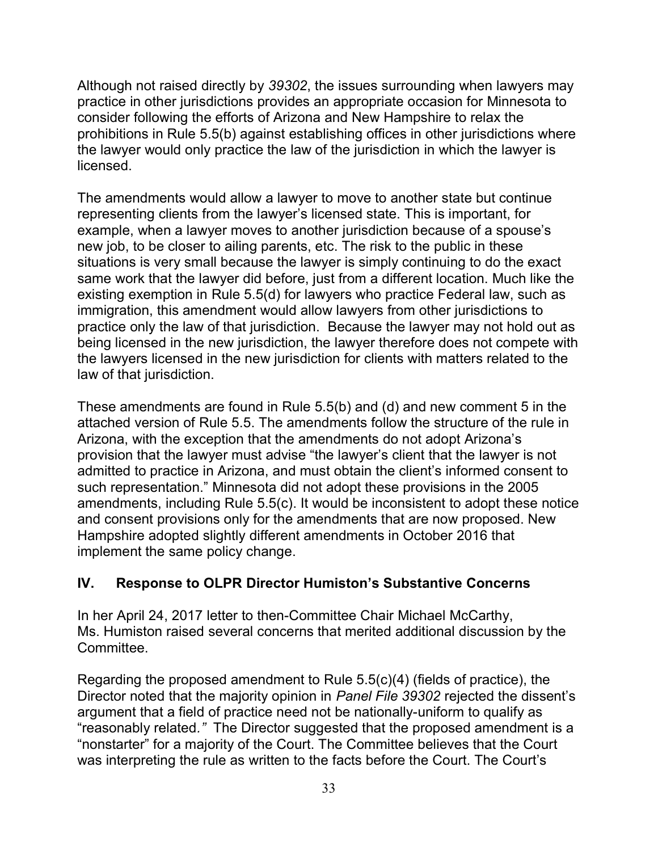Although not raised directly by 39302, the issues surrounding when lawyers may practice in other jurisdictions provides an appropriate occasion for Minnesota to consider following the efforts of Arizona and New Hampshire to relax the prohibitions in Rule 5.5(b) against establishing offices in other jurisdictions where the lawyer would only practice the law of the jurisdiction in which the lawyer is licensed.

The amendments would allow a lawyer to move to another state but continue representing clients from the lawyer's licensed state. This is important, for example, when a lawyer moves to another jurisdiction because of a spouse's new job, to be closer to ailing parents, etc. The risk to the public in these situations is very small because the lawyer is simply continuing to do the exact same work that the lawyer did before, just from a different location. Much like the existing exemption in Rule 5.5(d) for lawyers who practice Federal law, such as immigration, this amendment would allow lawyers from other jurisdictions to practice only the law of that jurisdiction. Because the lawyer may not hold out as being licensed in the new jurisdiction, the lawyer therefore does not compete with the lawyers licensed in the new jurisdiction for clients with matters related to the law of that jurisdiction.

These amendments are found in Rule 5.5(b) and (d) and new comment 5 in the attached version of Rule 5.5. The amendments follow the structure of the rule in Arizona, with the exception that the amendments do not adopt Arizona's provision that the lawyer must advise "the lawyer's client that the lawyer is not admitted to practice in Arizona, and must obtain the client's informed consent to such representation." Minnesota did not adopt these provisions in the 2005 amendments, including Rule 5.5(c). It would be inconsistent to adopt these notice and consent provisions only for the amendments that are now proposed. New Hampshire adopted slightly different amendments in October 2016 that implement the same policy change.

# IV. Response to OLPR Director Humiston's Substantive Concerns

In her April 24, 2017 letter to then-Committee Chair Michael McCarthy, Ms. Humiston raised several concerns that merited additional discussion by the Committee.

Regarding the proposed amendment to Rule 5.5(c)(4) (fields of practice), the Director noted that the majority opinion in Panel File 39302 rejected the dissent's argument that a field of practice need not be nationally-uniform to qualify as "reasonably related." The Director suggested that the proposed amendment is a "nonstarter" for a majority of the Court. The Committee believes that the Court was interpreting the rule as written to the facts before the Court. The Court's